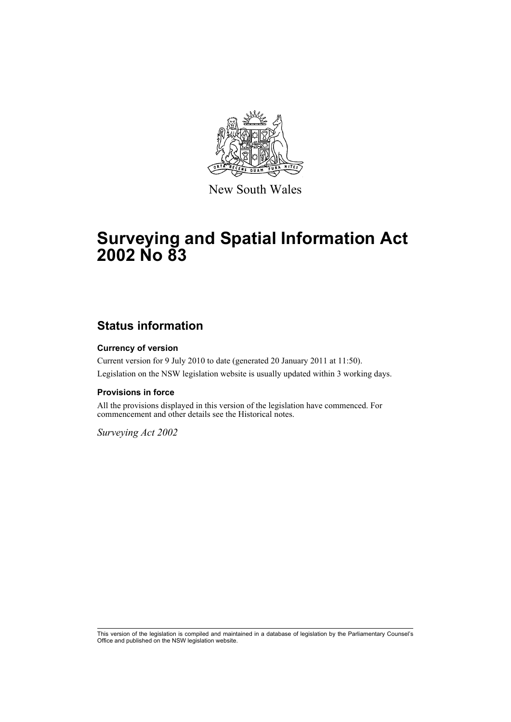

New South Wales

# **Surveying and Spatial Information Act 2002 No 83**

## **Status information**

### **Currency of version**

Current version for 9 July 2010 to date (generated 20 January 2011 at 11:50). Legislation on the NSW legislation website is usually updated within 3 working days.

#### **Provisions in force**

All the provisions displayed in this version of the legislation have commenced. For commencement and other details see the Historical notes.

*Surveying Act 2002*

This version of the legislation is compiled and maintained in a database of legislation by the Parliamentary Counsel's Office and published on the NSW legislation website.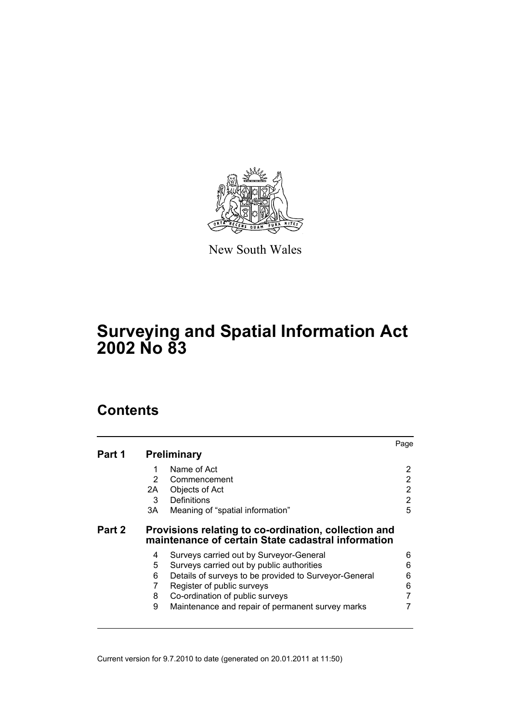

New South Wales

# **Surveying and Spatial Information Act 2002 No 83**

# **Contents**

|        |               |                                                                                                            | Page           |
|--------|---------------|------------------------------------------------------------------------------------------------------------|----------------|
| Part 1 |               | <b>Preliminary</b>                                                                                         |                |
|        | 1             | Name of Act                                                                                                | 2              |
|        | $\mathcal{P}$ | Commencement                                                                                               | 2              |
|        | 2A -          | Objects of Act                                                                                             | $\overline{2}$ |
|        | 3             | Definitions                                                                                                | $\overline{2}$ |
|        | 3A            | Meaning of "spatial information"                                                                           | 5              |
| Part 2 |               | Provisions relating to co-ordination, collection and<br>maintenance of certain State cadastral information |                |
|        | 4             | Surveys carried out by Surveyor-General                                                                    | 6              |
|        | 5             | Surveys carried out by public authorities                                                                  | 6              |
|        | 6             | Details of surveys to be provided to Surveyor-General                                                      | 6              |
|        | 7             | Register of public surveys                                                                                 | 6              |
|        | 8             | Co-ordination of public surveys                                                                            | 7              |
|        | 9             | Maintenance and repair of permanent survey marks                                                           |                |
|        |               |                                                                                                            |                |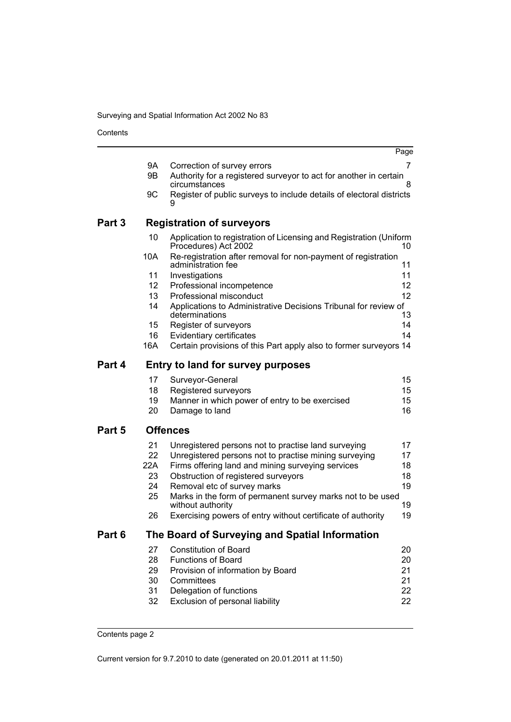Surveying and Spatial Information Act 2002 No 83

Contents

|        |                 |                                                                                            | Page     |
|--------|-----------------|--------------------------------------------------------------------------------------------|----------|
|        | 9A              | Correction of survey errors                                                                | 7        |
|        | 9Β              | Authority for a registered surveyor to act for another in certain<br>circumstances         | 8        |
|        | 9C              | Register of public surveys to include details of electoral districts<br>9                  |          |
| Part 3 |                 | <b>Registration of surveyors</b>                                                           |          |
|        | 10              | Application to registration of Licensing and Registration (Uniform<br>Procedures) Act 2002 | 10       |
|        | 10A             | Re-registration after removal for non-payment of registration<br>administration fee        | 11       |
|        | 11              | Investigations                                                                             | 11       |
|        | 12 <sup>°</sup> | Professional incompetence                                                                  | 12       |
|        | 13              | Professional misconduct                                                                    | 12       |
|        | 14              | Applications to Administrative Decisions Tribunal for review of<br>determinations          | 13       |
|        | 15              | Register of surveyors                                                                      | 14       |
|        | 16              | Evidentiary certificates                                                                   | 14       |
|        | 16A             | Certain provisions of this Part apply also to former surveyors 14                          |          |
| Part 4 |                 | <b>Entry to land for survey purposes</b>                                                   |          |
|        | 17              | Surveyor-General                                                                           | 15       |
|        | 18              | Registered surveyors                                                                       | 15       |
|        | 19              | Manner in which power of entry to be exercised                                             | 15       |
|        | 20              | Damage to land                                                                             | 16       |
| Part 5 |                 | <b>Offences</b>                                                                            |          |
|        | 21              | Unregistered persons not to practise land surveying                                        | 17       |
|        | 22              | Unregistered persons not to practise mining surveying                                      | 17       |
|        | 22A             | Firms offering land and mining surveying services                                          | 18       |
|        | 23              | Obstruction of registered surveyors                                                        | 18       |
|        | 24              | Removal etc of survey marks                                                                | 19       |
|        | 25              | Marks in the form of permanent survey marks not to be used                                 |          |
|        | 26              | without authority<br>Exercising powers of entry without certificate of authority           | 19<br>19 |
|        |                 |                                                                                            |          |
| Part 6 |                 | The Board of Surveying and Spatial Information                                             |          |
|        | 27              | <b>Constitution of Board</b>                                                               | 20       |
|        | 28              | <b>Functions of Board</b>                                                                  | 20       |
|        | 29              | Provision of information by Board                                                          | 21       |
|        | 30              | Committees                                                                                 | 21       |
|        | 31<br>32        | Delegation of functions                                                                    | 22<br>22 |
|        |                 | Exclusion of personal liability                                                            |          |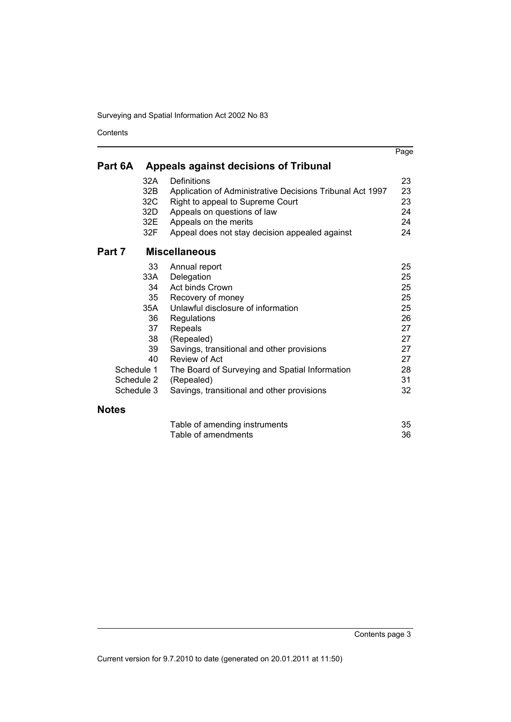Surveying and Spatial Information Act 2002 No 83

Contents

|              |            |                                                           | Page |
|--------------|------------|-----------------------------------------------------------|------|
| Part 6A      |            | <b>Appeals against decisions of Tribunal</b>              |      |
|              | 32A        | Definitions                                               | 23   |
|              | 32B        | Application of Administrative Decisions Tribunal Act 1997 | 23   |
|              | 32C        | Right to appeal to Supreme Court                          | 23   |
|              | 32D        | Appeals on questions of law                               | 24   |
|              | 32E        | Appeals on the merits                                     | 24   |
|              | 32F        | Appeal does not stay decision appealed against            | 24   |
| Part 7       |            | <b>Miscellaneous</b>                                      |      |
|              | 33         | Annual report                                             | 25   |
|              | 33A        | Delegation                                                | 25   |
|              | 34         | Act binds Crown                                           | 25   |
|              | 35         | Recovery of money                                         | 25   |
|              | 35A        | Unlawful disclosure of information                        | 25   |
|              | 36         | Regulations                                               | 26   |
|              | 37         | Repeals                                                   | 27   |
|              | 38         | (Repealed)                                                | 27   |
|              | 39         | Savings, transitional and other provisions                | 27   |
|              | 40         | Review of Act                                             | 27   |
|              | Schedule 1 | The Board of Surveying and Spatial Information            | 28   |
|              | Schedule 2 | (Repealed)                                                | 31   |
|              | Schedule 3 | Savings, transitional and other provisions                | 32   |
| <b>Notes</b> |            |                                                           |      |
|              |            | Table of amending instruments                             | 35   |
|              |            | Table of amendments                                       | 36   |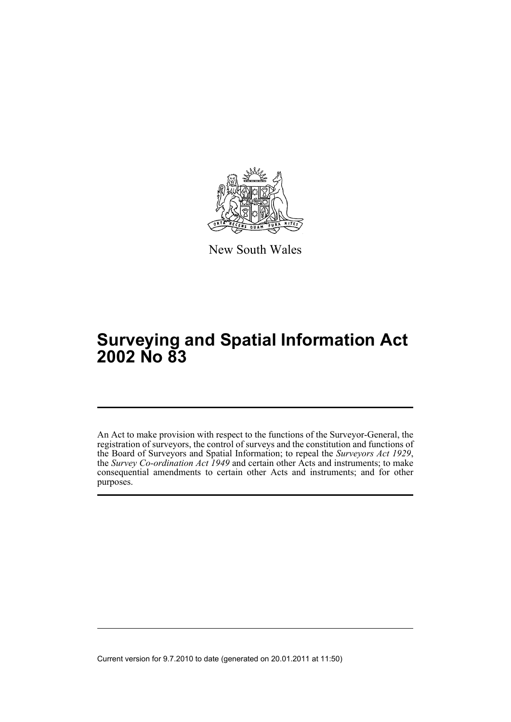

New South Wales

# **Surveying and Spatial Information Act 2002 No 83**

An Act to make provision with respect to the functions of the Surveyor-General, the registration of surveyors, the control of surveys and the constitution and functions of the Board of Surveyors and Spatial Information; to repeal the *Surveyors Act 1929*, the *Survey Co-ordination Act 1949* and certain other Acts and instruments; to make consequential amendments to certain other Acts and instruments; and for other purposes.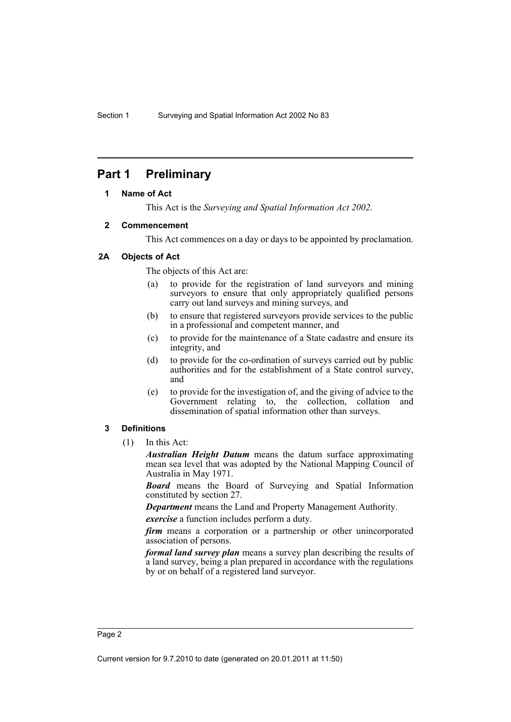## <span id="page-7-1"></span><span id="page-7-0"></span>**Part 1 Preliminary**

#### **1 Name of Act**

This Act is the *Surveying and Spatial Information Act 2002*.

#### <span id="page-7-2"></span>**2 Commencement**

This Act commences on a day or days to be appointed by proclamation.

#### <span id="page-7-3"></span>**2A Objects of Act**

The objects of this Act are:

- (a) to provide for the registration of land surveyors and mining surveyors to ensure that only appropriately qualified persons carry out land surveys and mining surveys, and
- (b) to ensure that registered surveyors provide services to the public in a professional and competent manner, and
- (c) to provide for the maintenance of a State cadastre and ensure its integrity, and
- (d) to provide for the co-ordination of surveys carried out by public authorities and for the establishment of a State control survey, and
- (e) to provide for the investigation of, and the giving of advice to the Government relating to, the collection, collation and dissemination of spatial information other than surveys.

#### <span id="page-7-4"></span>**3 Definitions**

(1) In this Act:

*Australian Height Datum* means the datum surface approximating mean sea level that was adopted by the National Mapping Council of Australia in May 1971.

*Board* means the Board of Surveying and Spatial Information constituted by section 27.

*Department* means the Land and Property Management Authority.

*exercise* a function includes perform a duty.

*firm* means a corporation or a partnership or other unincorporated association of persons.

*formal land survey plan* means a survey plan describing the results of a land survey, being a plan prepared in accordance with the regulations by or on behalf of a registered land surveyor.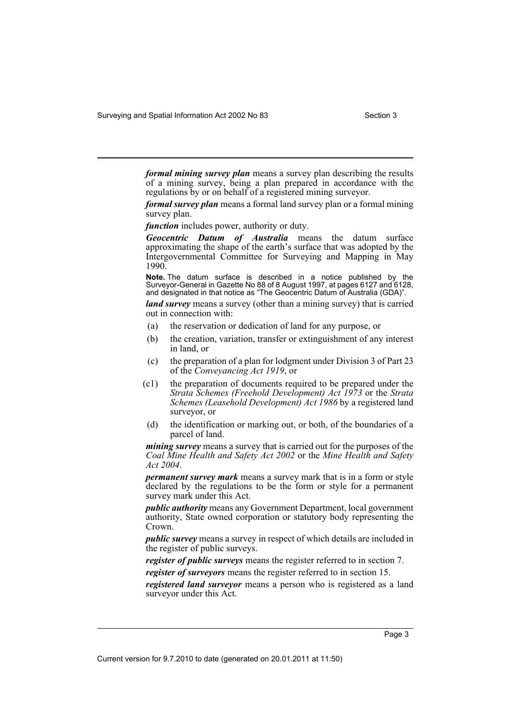Surveying and Spatial Information Act 2002 No 83 Section 3

*formal mining survey plan* means a survey plan describing the results of a mining survey, being a plan prepared in accordance with the regulations by or on behalf of a registered mining surveyor.

*formal survey plan* means a formal land survey plan or a formal mining survey plan.

*function* includes power, authority or duty.

*Geocentric Datum of Australia* means the datum surface approximating the shape of the earth's surface that was adopted by the Intergovernmental Committee for Surveying and Mapping in May 1990.

**Note.** The datum surface is described in a notice published by the Surveyor-General in Gazette No 88 of 8 August 1997, at pages 6127 and 6128, and designated in that notice as "The Geocentric Datum of Australia (GDA)".

*land survey* means a survey (other than a mining survey) that is carried out in connection with:

- (a) the reservation or dedication of land for any purpose, or
- (b) the creation, variation, transfer or extinguishment of any interest in land, or
- (c) the preparation of a plan for lodgment under Division 3 of Part 23 of the *Conveyancing Act 1919*, or
- (c1) the preparation of documents required to be prepared under the *Strata Schemes (Freehold Development) Act 1973* or the *Strata Schemes (Leasehold Development) Act 1986* by a registered land surveyor, or
- (d) the identification or marking out, or both, of the boundaries of a parcel of land.

*mining survey* means a survey that is carried out for the purposes of the *Coal Mine Health and Safety Act 2002* or the *Mine Health and Safety Act 2004*.

*permanent survey mark* means a survey mark that is in a form or style declared by the regulations to be the form or style for a permanent survey mark under this Act.

*public authority* means any Government Department, local government authority, State owned corporation or statutory body representing the Crown.

*public survey* means a survey in respect of which details are included in the register of public surveys.

*register of public surveys* means the register referred to in section 7.

*register of surveyors* means the register referred to in section 15.

*registered land surveyor* means a person who is registered as a land surveyor under this Act.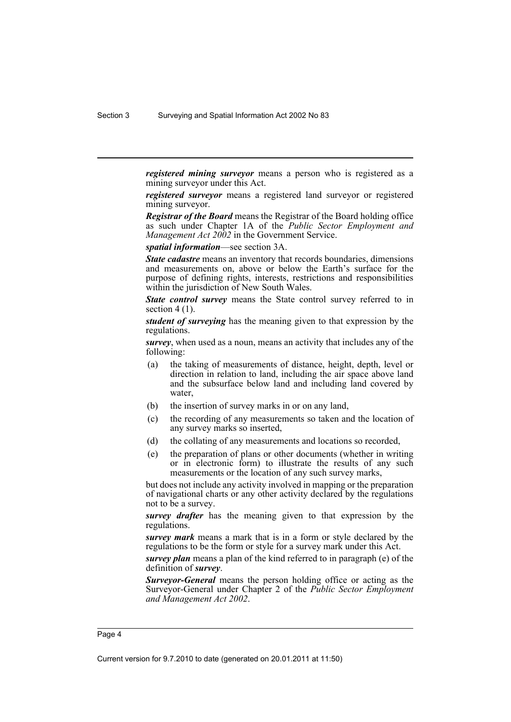*registered mining surveyor* means a person who is registered as a mining surveyor under this Act.

*registered surveyor* means a registered land surveyor or registered mining surveyor.

*Registrar of the Board* means the Registrar of the Board holding office as such under Chapter 1A of the *Public Sector Employment and Management Act 2002* in the Government Service.

*spatial information*—see section 3A.

*State cadastre* means an inventory that records boundaries, dimensions and measurements on, above or below the Earth's surface for the purpose of defining rights, interests, restrictions and responsibilities within the jurisdiction of New South Wales.

*State control survey* means the State control survey referred to in section  $4(1)$ .

*student of surveying* has the meaning given to that expression by the regulations.

*survey*, when used as a noun, means an activity that includes any of the following:

- (a) the taking of measurements of distance, height, depth, level or direction in relation to land, including the air space above land and the subsurface below land and including land covered by water,
- (b) the insertion of survey marks in or on any land,
- (c) the recording of any measurements so taken and the location of any survey marks so inserted,
- (d) the collating of any measurements and locations so recorded,
- (e) the preparation of plans or other documents (whether in writing or in electronic form) to illustrate the results of any such measurements or the location of any such survey marks,

but does not include any activity involved in mapping or the preparation of navigational charts or any other activity declared by the regulations not to be a survey.

*survey drafter* has the meaning given to that expression by the regulations.

*survey mark* means a mark that is in a form or style declared by the regulations to be the form or style for a survey mark under this Act.

*survey plan* means a plan of the kind referred to in paragraph (e) of the definition of *survey*.

*Surveyor-General* means the person holding office or acting as the Surveyor-General under Chapter 2 of the *Public Sector Employment and Management Act 2002*.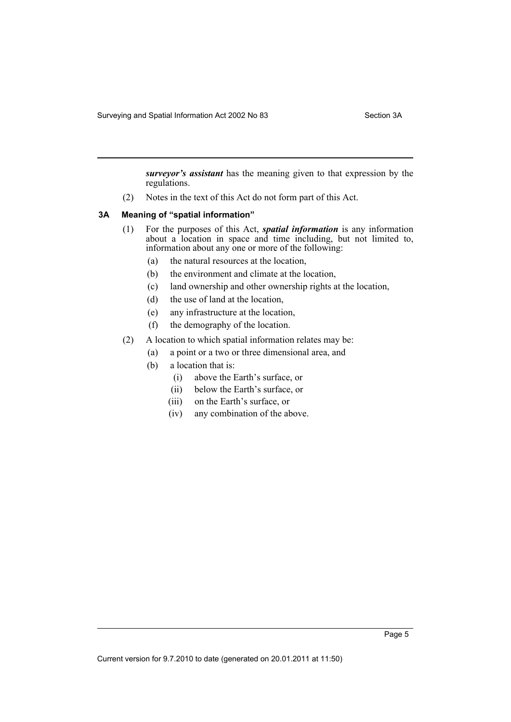Surveying and Spatial Information Act 2002 No 83 Section 3A

*surveyor's assistant* has the meaning given to that expression by the regulations.

(2) Notes in the text of this Act do not form part of this Act.

#### <span id="page-10-0"></span>**3A Meaning of "spatial information"**

- (1) For the purposes of this Act, *spatial information* is any information about a location in space and time including, but not limited to, information about any one or more of the following:
	- (a) the natural resources at the location,
	- (b) the environment and climate at the location,
	- (c) land ownership and other ownership rights at the location,
	- (d) the use of land at the location,
	- (e) any infrastructure at the location,
	- (f) the demography of the location.
- (2) A location to which spatial information relates may be:
	- (a) a point or a two or three dimensional area, and
	- (b) a location that is:
		- (i) above the Earth's surface, or
		- (ii) below the Earth's surface, or
		- (iii) on the Earth's surface, or
		- (iv) any combination of the above.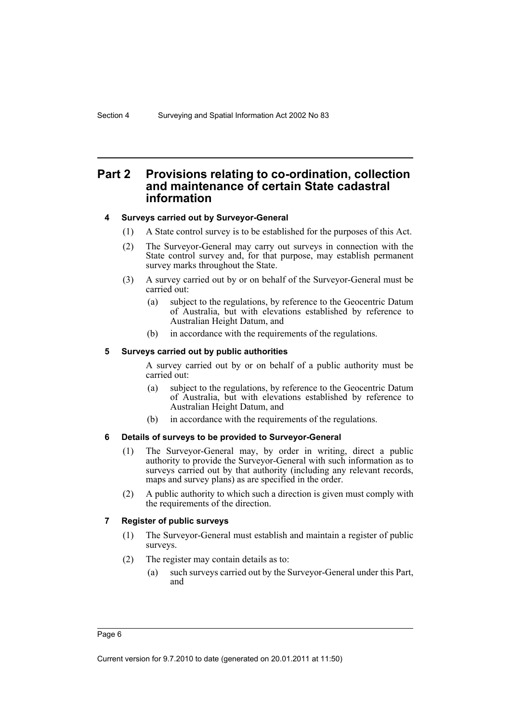## <span id="page-11-0"></span>**Part 2 Provisions relating to co-ordination, collection and maintenance of certain State cadastral information**

#### <span id="page-11-1"></span>**4 Surveys carried out by Surveyor-General**

- (1) A State control survey is to be established for the purposes of this Act.
- (2) The Surveyor-General may carry out surveys in connection with the State control survey and, for that purpose, may establish permanent survey marks throughout the State.
- (3) A survey carried out by or on behalf of the Surveyor-General must be carried out:
	- (a) subject to the regulations, by reference to the Geocentric Datum of Australia, but with elevations established by reference to Australian Height Datum, and
	- (b) in accordance with the requirements of the regulations.

#### <span id="page-11-2"></span>**5 Surveys carried out by public authorities**

A survey carried out by or on behalf of a public authority must be carried out:

- (a) subject to the regulations, by reference to the Geocentric Datum of Australia, but with elevations established by reference to Australian Height Datum, and
- (b) in accordance with the requirements of the regulations.

#### <span id="page-11-3"></span>**6 Details of surveys to be provided to Surveyor-General**

- (1) The Surveyor-General may, by order in writing, direct a public authority to provide the Surveyor-General with such information as to surveys carried out by that authority (including any relevant records, maps and survey plans) as are specified in the order.
- (2) A public authority to which such a direction is given must comply with the requirements of the direction.

#### <span id="page-11-4"></span>**7 Register of public surveys**

- (1) The Surveyor-General must establish and maintain a register of public surveys.
- (2) The register may contain details as to:
	- (a) such surveys carried out by the Surveyor-General under this Part, and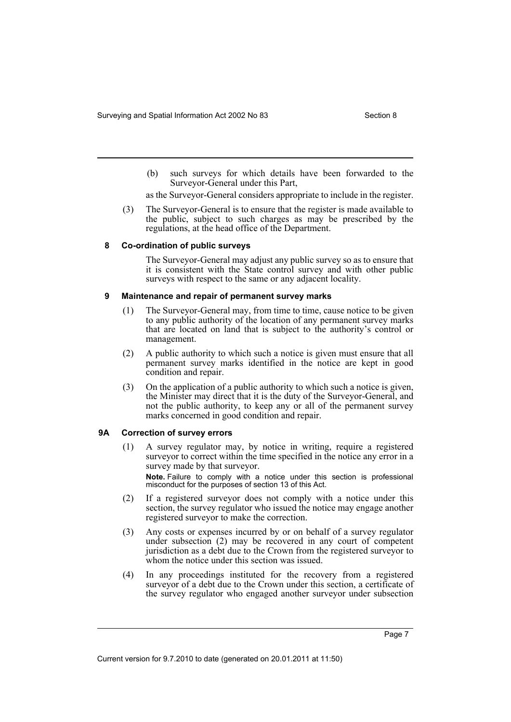(b) such surveys for which details have been forwarded to the Surveyor-General under this Part,

as the Surveyor-General considers appropriate to include in the register.

(3) The Surveyor-General is to ensure that the register is made available to the public, subject to such charges as may be prescribed by the regulations, at the head office of the Department.

#### <span id="page-12-0"></span>**8 Co-ordination of public surveys**

The Surveyor-General may adjust any public survey so as to ensure that it is consistent with the State control survey and with other public surveys with respect to the same or any adjacent locality.

#### <span id="page-12-1"></span>**9 Maintenance and repair of permanent survey marks**

- (1) The Surveyor-General may, from time to time, cause notice to be given to any public authority of the location of any permanent survey marks that are located on land that is subject to the authority's control or management.
- (2) A public authority to which such a notice is given must ensure that all permanent survey marks identified in the notice are kept in good condition and repair.
- (3) On the application of a public authority to which such a notice is given, the Minister may direct that it is the duty of the Surveyor-General, and not the public authority, to keep any or all of the permanent survey marks concerned in good condition and repair.

#### <span id="page-12-2"></span>**9A Correction of survey errors**

(1) A survey regulator may, by notice in writing, require a registered surveyor to correct within the time specified in the notice any error in a survey made by that surveyor.

**Note.** Failure to comply with a notice under this section is professional misconduct for the purposes of section 13 of this Act.

- (2) If a registered surveyor does not comply with a notice under this section, the survey regulator who issued the notice may engage another registered surveyor to make the correction.
- (3) Any costs or expenses incurred by or on behalf of a survey regulator under subsection (2) may be recovered in any court of competent jurisdiction as a debt due to the Crown from the registered surveyor to whom the notice under this section was issued.
- (4) In any proceedings instituted for the recovery from a registered surveyor of a debt due to the Crown under this section, a certificate of the survey regulator who engaged another surveyor under subsection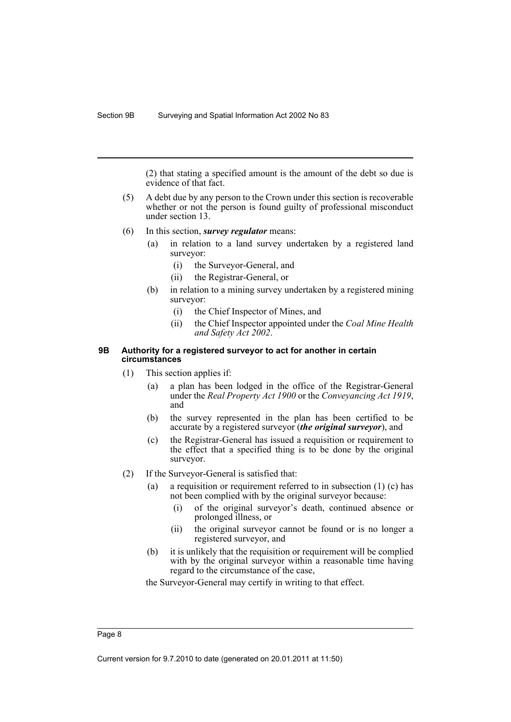(2) that stating a specified amount is the amount of the debt so due is evidence of that fact.

- (5) A debt due by any person to the Crown under this section is recoverable whether or not the person is found guilty of professional misconduct under section 13.
- (6) In this section, *survey regulator* means:
	- (a) in relation to a land survey undertaken by a registered land surveyor:
		- (i) the Surveyor-General, and
		- (ii) the Registrar-General, or
	- (b) in relation to a mining survey undertaken by a registered mining surveyor:
		- (i) the Chief Inspector of Mines, and
		- (ii) the Chief Inspector appointed under the *Coal Mine Health and Safety Act 2002*.

#### <span id="page-13-0"></span>**9B Authority for a registered surveyor to act for another in certain circumstances**

- (1) This section applies if:
	- (a) a plan has been lodged in the office of the Registrar-General under the *Real Property Act 1900* or the *Conveyancing Act 1919*, and
	- (b) the survey represented in the plan has been certified to be accurate by a registered surveyor (*the original surveyor*), and
	- (c) the Registrar-General has issued a requisition or requirement to the effect that a specified thing is to be done by the original surveyor.
- (2) If the Surveyor-General is satisfied that:
	- (a) a requisition or requirement referred to in subsection  $(1)$  (c) has not been complied with by the original surveyor because:
		- (i) of the original surveyor's death, continued absence or prolonged illness, or
		- (ii) the original surveyor cannot be found or is no longer a registered surveyor, and
	- (b) it is unlikely that the requisition or requirement will be complied with by the original surveyor within a reasonable time having regard to the circumstance of the case,

the Surveyor-General may certify in writing to that effect.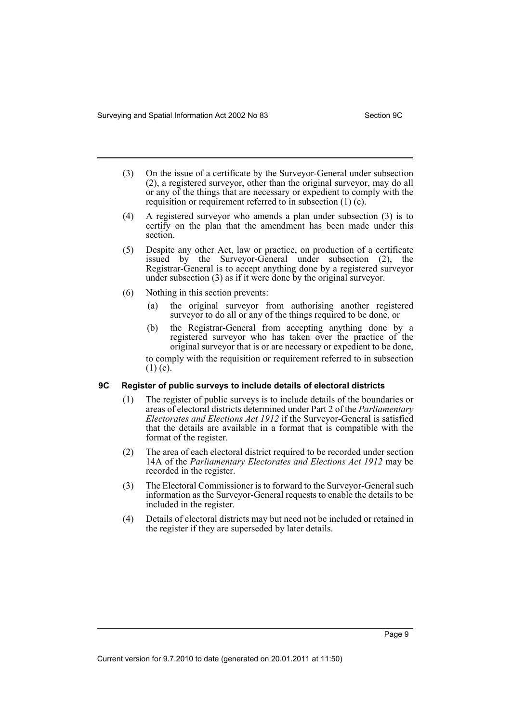- (3) On the issue of a certificate by the Surveyor-General under subsection (2), a registered surveyor, other than the original surveyor, may do all or any of the things that are necessary or expedient to comply with the requisition or requirement referred to in subsection (1) (c).
- (4) A registered surveyor who amends a plan under subsection (3) is to certify on the plan that the amendment has been made under this section.
- (5) Despite any other Act, law or practice, on production of a certificate issued by the Surveyor-General under subsection (2), the Registrar-General is to accept anything done by a registered surveyor under subsection (3) as if it were done by the original surveyor.
- (6) Nothing in this section prevents:
	- (a) the original surveyor from authorising another registered surveyor to do all or any of the things required to be done, or
	- (b) the Registrar-General from accepting anything done by a registered surveyor who has taken over the practice of the original surveyor that is or are necessary or expedient to be done,

to comply with the requisition or requirement referred to in subsection  $(1)$  (c).

#### <span id="page-14-0"></span>**9C Register of public surveys to include details of electoral districts**

- (1) The register of public surveys is to include details of the boundaries or areas of electoral districts determined under Part 2 of the *Parliamentary Electorates and Elections Act 1912* if the Surveyor-General is satisfied that the details are available in a format that is compatible with the format of the register.
- (2) The area of each electoral district required to be recorded under section 14A of the *Parliamentary Electorates and Elections Act 1912* may be recorded in the register.
- (3) The Electoral Commissioner is to forward to the Surveyor-General such information as the Surveyor-General requests to enable the details to be included in the register.
- (4) Details of electoral districts may but need not be included or retained in the register if they are superseded by later details.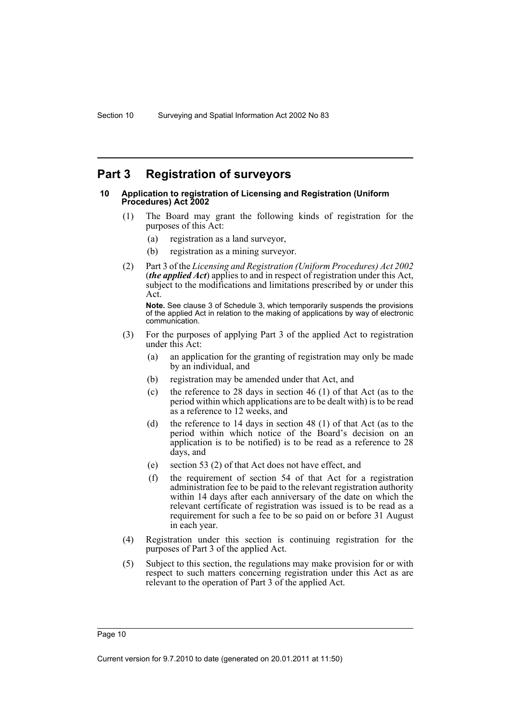## <span id="page-15-0"></span>**Part 3 Registration of surveyors**

#### <span id="page-15-1"></span>**10 Application to registration of Licensing and Registration (Uniform Procedures) Act 2002**

- (1) The Board may grant the following kinds of registration for the purposes of this Act:
	- (a) registration as a land surveyor,
	- (b) registration as a mining surveyor.
- (2) Part 3 of the *Licensing and Registration (Uniform Procedures) Act 2002* (*the applied Act*) applies to and in respect of registration under this Act, subject to the modifications and limitations prescribed by or under this Act.

**Note.** See clause 3 of Schedule 3, which temporarily suspends the provisions of the applied Act in relation to the making of applications by way of electronic communication.

- (3) For the purposes of applying Part 3 of the applied Act to registration under this Act:
	- (a) an application for the granting of registration may only be made by an individual, and
	- (b) registration may be amended under that Act, and
	- (c) the reference to 28 days in section 46 (1) of that Act (as to the period within which applications are to be dealt with) is to be read as a reference to 12 weeks, and
	- (d) the reference to 14 days in section 48 (1) of that Act (as to the period within which notice of the Board's decision on an application is to be notified) is to be read as a reference to 28 days, and
	- (e) section 53 (2) of that Act does not have effect, and
	- (f) the requirement of section 54 of that Act for a registration administration fee to be paid to the relevant registration authority within 14 days after each anniversary of the date on which the relevant certificate of registration was issued is to be read as a requirement for such a fee to be so paid on or before 31 August in each year.
- (4) Registration under this section is continuing registration for the purposes of Part 3 of the applied Act.
- (5) Subject to this section, the regulations may make provision for or with respect to such matters concerning registration under this Act as are relevant to the operation of Part 3 of the applied Act.

Page 10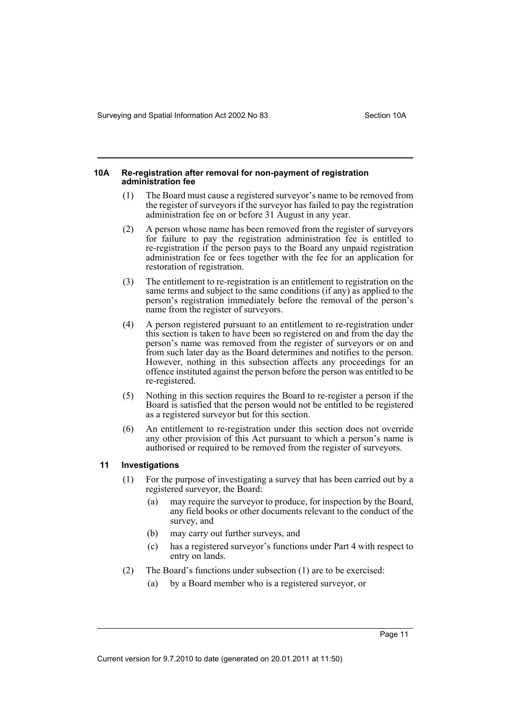#### <span id="page-16-0"></span>**10A Re-registration after removal for non-payment of registration administration fee**

- (1) The Board must cause a registered surveyor's name to be removed from the register of surveyors if the surveyor has failed to pay the registration administration fee on or before 31 August in any year.
- (2) A person whose name has been removed from the register of surveyors for failure to pay the registration administration fee is entitled to re-registration if the person pays to the Board any unpaid registration administration fee or fees together with the fee for an application for restoration of registration.
- (3) The entitlement to re-registration is an entitlement to registration on the same terms and subject to the same conditions (if any) as applied to the person's registration immediately before the removal of the person's name from the register of surveyors.
- (4) A person registered pursuant to an entitlement to re-registration under this section is taken to have been so registered on and from the day the person's name was removed from the register of surveyors or on and from such later day as the Board determines and notifies to the person. However, nothing in this subsection affects any proceedings for an offence instituted against the person before the person was entitled to be re-registered.
- (5) Nothing in this section requires the Board to re-register a person if the Board is satisfied that the person would not be entitled to be registered as a registered surveyor but for this section.
- (6) An entitlement to re-registration under this section does not override any other provision of this Act pursuant to which a person's name is authorised or required to be removed from the register of surveyors.

#### <span id="page-16-1"></span>**11 Investigations**

- (1) For the purpose of investigating a survey that has been carried out by a registered surveyor, the Board:
	- (a) may require the surveyor to produce, for inspection by the Board, any field books or other documents relevant to the conduct of the survey, and
	- (b) may carry out further surveys, and
	- (c) has a registered surveyor's functions under Part 4 with respect to entry on lands.
- (2) The Board's functions under subsection (1) are to be exercised:
	- (a) by a Board member who is a registered surveyor, or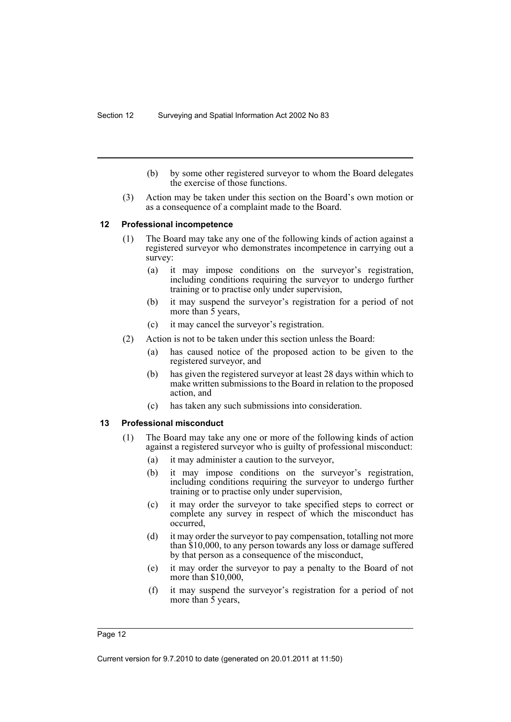- (b) by some other registered surveyor to whom the Board delegates the exercise of those functions.
- (3) Action may be taken under this section on the Board's own motion or as a consequence of a complaint made to the Board.

#### <span id="page-17-0"></span>**12 Professional incompetence**

- (1) The Board may take any one of the following kinds of action against a registered surveyor who demonstrates incompetence in carrying out a survey:
	- (a) it may impose conditions on the surveyor's registration, including conditions requiring the surveyor to undergo further training or to practise only under supervision,
	- (b) it may suspend the surveyor's registration for a period of not more than 5 years,
	- (c) it may cancel the surveyor's registration.
- (2) Action is not to be taken under this section unless the Board:
	- (a) has caused notice of the proposed action to be given to the registered surveyor, and
	- (b) has given the registered surveyor at least 28 days within which to make written submissions to the Board in relation to the proposed action, and
	- (c) has taken any such submissions into consideration.

#### <span id="page-17-1"></span>**13 Professional misconduct**

- (1) The Board may take any one or more of the following kinds of action against a registered surveyor who is guilty of professional misconduct:
	- (a) it may administer a caution to the surveyor,
	- (b) it may impose conditions on the surveyor's registration, including conditions requiring the surveyor to undergo further training or to practise only under supervision,
	- (c) it may order the surveyor to take specified steps to correct or complete any survey in respect of which the misconduct has occurred,
	- (d) it may order the surveyor to pay compensation, totalling not more than \$10,000, to any person towards any loss or damage suffered by that person as a consequence of the misconduct,
	- (e) it may order the surveyor to pay a penalty to the Board of not more than \$10,000,
	- (f) it may suspend the surveyor's registration for a period of not more than 5 years,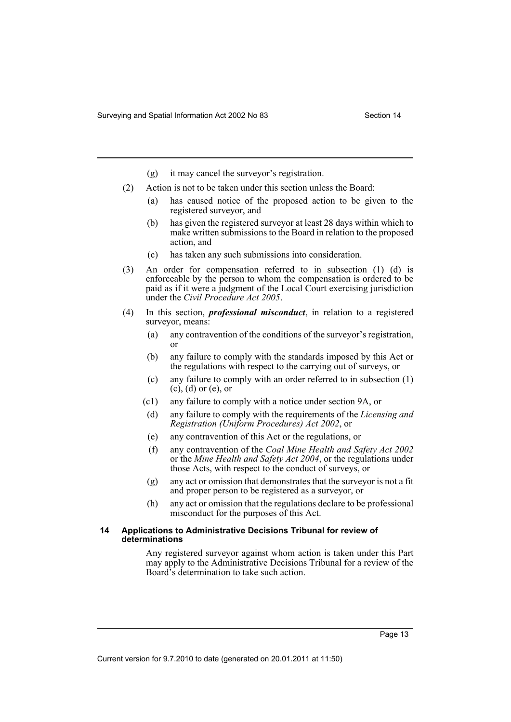- (g) it may cancel the surveyor's registration.
- (2) Action is not to be taken under this section unless the Board:
	- (a) has caused notice of the proposed action to be given to the registered surveyor, and
	- (b) has given the registered surveyor at least 28 days within which to make written submissions to the Board in relation to the proposed action, and
	- (c) has taken any such submissions into consideration.
- (3) An order for compensation referred to in subsection (1) (d) is enforceable by the person to whom the compensation is ordered to be paid as if it were a judgment of the Local Court exercising jurisdiction under the *Civil Procedure Act 2005*.
- (4) In this section, *professional misconduct*, in relation to a registered surveyor, means:
	- (a) any contravention of the conditions of the surveyor's registration, or
	- (b) any failure to comply with the standards imposed by this Act or the regulations with respect to the carrying out of surveys, or
	- (c) any failure to comply with an order referred to in subsection (1)  $(c)$ ,  $(d)$  or  $(e)$ , or
	- (c1) any failure to comply with a notice under section 9A, or
	- (d) any failure to comply with the requirements of the *Licensing and Registration (Uniform Procedures) Act 2002*, or
	- (e) any contravention of this Act or the regulations, or
	- (f) any contravention of the *Coal Mine Health and Safety Act 2002* or the *Mine Health and Safety Act 2004*, or the regulations under those Acts, with respect to the conduct of surveys, or
	- (g) any act or omission that demonstrates that the surveyor is not a fit and proper person to be registered as a surveyor, or
	- (h) any act or omission that the regulations declare to be professional misconduct for the purposes of this Act.

#### <span id="page-18-0"></span>**14 Applications to Administrative Decisions Tribunal for review of determinations**

Any registered surveyor against whom action is taken under this Part may apply to the Administrative Decisions Tribunal for a review of the Board's determination to take such action.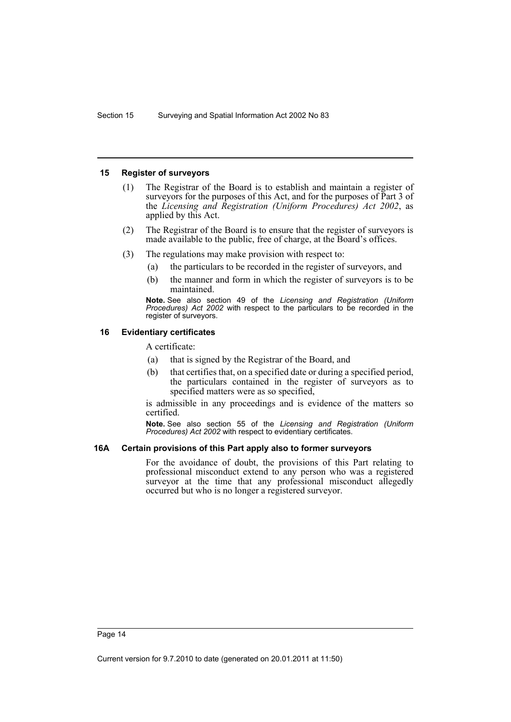#### <span id="page-19-0"></span>**15 Register of surveyors**

- (1) The Registrar of the Board is to establish and maintain a register of surveyors for the purposes of this Act, and for the purposes of Part 3 of the *Licensing and Registration (Uniform Procedures) Act 2002*, as applied by this Act.
- (2) The Registrar of the Board is to ensure that the register of surveyors is made available to the public, free of charge, at the Board's offices.
- (3) The regulations may make provision with respect to:
	- (a) the particulars to be recorded in the register of surveyors, and
	- (b) the manner and form in which the register of surveyors is to be maintained.

**Note.** See also section 49 of the *Licensing and Registration (Uniform Procedures) Act 2002* with respect to the particulars to be recorded in the register of surveyors.

#### <span id="page-19-1"></span>**16 Evidentiary certificates**

A certificate:

- (a) that is signed by the Registrar of the Board, and
- (b) that certifies that, on a specified date or during a specified period, the particulars contained in the register of surveyors as to specified matters were as so specified,

is admissible in any proceedings and is evidence of the matters so certified.

**Note.** See also section 55 of the *Licensing and Registration (Uniform Procedures) Act 2002* with respect to evidentiary certificates.

#### <span id="page-19-2"></span>**16A Certain provisions of this Part apply also to former surveyors**

For the avoidance of doubt, the provisions of this Part relating to professional misconduct extend to any person who was a registered surveyor at the time that any professional misconduct allegedly occurred but who is no longer a registered surveyor.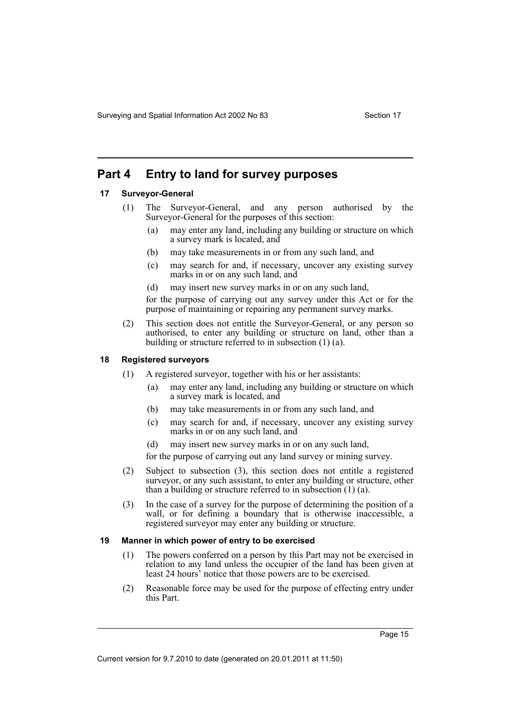Surveying and Spatial Information Act 2002 No 83 Section 17

## <span id="page-20-0"></span>**Part 4 Entry to land for survey purposes**

#### <span id="page-20-1"></span>**17 Surveyor-General**

- (1) The Surveyor-General, and any person authorised by the Surveyor-General for the purposes of this section:
	- (a) may enter any land, including any building or structure on which a survey mark is located, and
	- (b) may take measurements in or from any such land, and
	- (c) may search for and, if necessary, uncover any existing survey marks in or on any such land, and
	- (d) may insert new survey marks in or on any such land,

for the purpose of carrying out any survey under this Act or for the purpose of maintaining or repairing any permanent survey marks.

(2) This section does not entitle the Surveyor-General, or any person so authorised, to enter any building or structure on land, other than a building or structure referred to in subsection (1) (a).

#### <span id="page-20-2"></span>**18 Registered surveyors**

- (1) A registered surveyor, together with his or her assistants:
	- (a) may enter any land, including any building or structure on which a survey mark is located, and
	- (b) may take measurements in or from any such land, and
	- (c) may search for and, if necessary, uncover any existing survey marks in or on any such land, and
	- (d) may insert new survey marks in or on any such land,

for the purpose of carrying out any land survey or mining survey.

- (2) Subject to subsection (3), this section does not entitle a registered surveyor, or any such assistant, to enter any building or structure, other than a building or structure referred to in subsection (1) (a).
- (3) In the case of a survey for the purpose of determining the position of a wall, or for defining a boundary that is otherwise inaccessible, a registered surveyor may enter any building or structure.

#### <span id="page-20-3"></span>**19 Manner in which power of entry to be exercised**

- (1) The powers conferred on a person by this Part may not be exercised in relation to any land unless the occupier of the land has been given at least 24 hours' notice that those powers are to be exercised.
- (2) Reasonable force may be used for the purpose of effecting entry under this Part.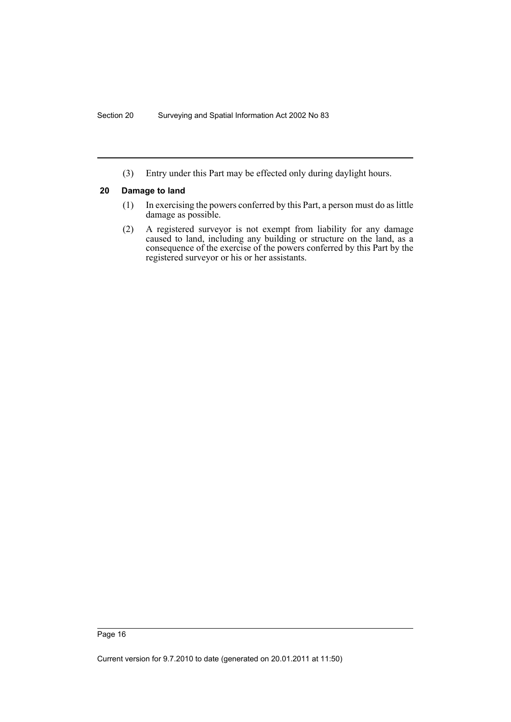(3) Entry under this Part may be effected only during daylight hours.

#### <span id="page-21-0"></span>**20 Damage to land**

- (1) In exercising the powers conferred by this Part, a person must do as little damage as possible.
- (2) A registered surveyor is not exempt from liability for any damage caused to land, including any building or structure on the land, as a consequence of the exercise of the powers conferred by this Part by the registered surveyor or his or her assistants.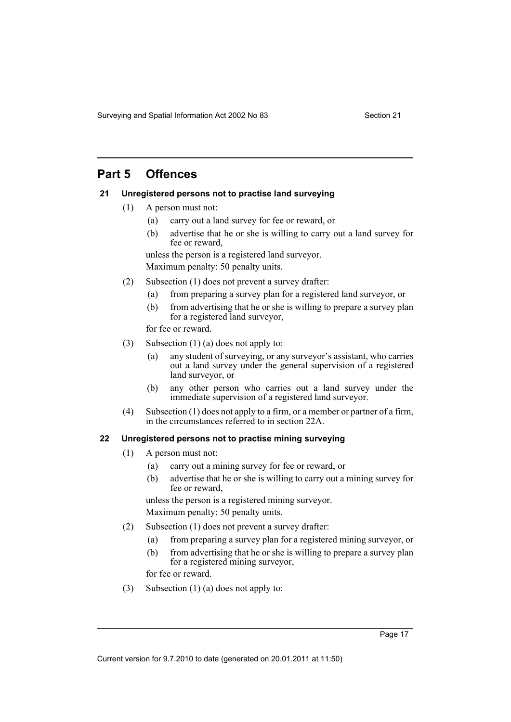Surveying and Spatial Information Act 2002 No 83 Section 21

## <span id="page-22-0"></span>**Part 5 Offences**

## <span id="page-22-1"></span>**21 Unregistered persons not to practise land surveying**

- (1) A person must not:
	- (a) carry out a land survey for fee or reward, or
	- (b) advertise that he or she is willing to carry out a land survey for fee or reward,

unless the person is a registered land surveyor. Maximum penalty: 50 penalty units.

- (2) Subsection (1) does not prevent a survey drafter:
	- (a) from preparing a survey plan for a registered land surveyor, or
	- (b) from advertising that he or she is willing to prepare a survey plan for a registered land surveyor,

for fee or reward.

- (3) Subsection (1) (a) does not apply to:
	- (a) any student of surveying, or any surveyor's assistant, who carries out a land survey under the general supervision of a registered land surveyor, or
	- (b) any other person who carries out a land survey under the immediate supervision of a registered land surveyor.
- (4) Subsection (1) does not apply to a firm, or a member or partner of a firm, in the circumstances referred to in section 22A.

## <span id="page-22-2"></span>**22 Unregistered persons not to practise mining surveying**

- (1) A person must not:
	- (a) carry out a mining survey for fee or reward, or
	- (b) advertise that he or she is willing to carry out a mining survey for fee or reward,

unless the person is a registered mining surveyor. Maximum penalty: 50 penalty units.

- (2) Subsection (1) does not prevent a survey drafter:
	- (a) from preparing a survey plan for a registered mining surveyor, or
	- (b) from advertising that he or she is willing to prepare a survey plan for a registered mining surveyor,

for fee or reward.

(3) Subsection (1) (a) does not apply to: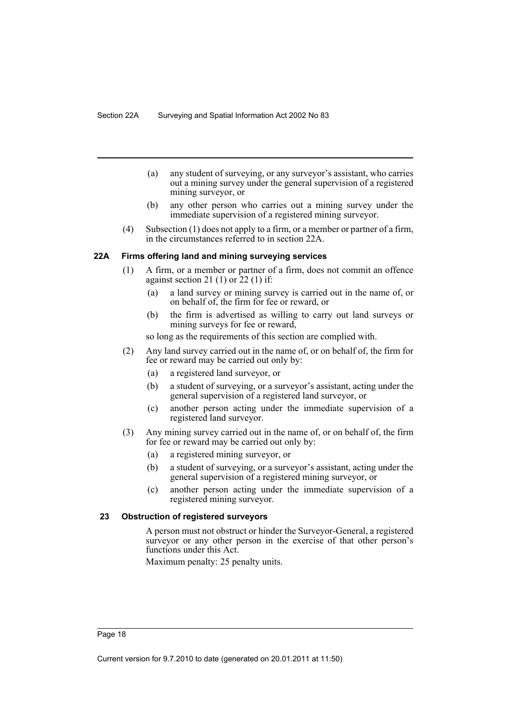- (a) any student of surveying, or any surveyor's assistant, who carries out a mining survey under the general supervision of a registered mining surveyor, or
- (b) any other person who carries out a mining survey under the immediate supervision of a registered mining surveyor.
- (4) Subsection (1) does not apply to a firm, or a member or partner of a firm, in the circumstances referred to in section 22A.

#### <span id="page-23-0"></span>**22A Firms offering land and mining surveying services**

- (1) A firm, or a member or partner of a firm, does not commit an offence against section 21 $(1)$  or  $22(1)$  if:
	- (a) a land survey or mining survey is carried out in the name of, or on behalf of, the firm for fee or reward, or
	- (b) the firm is advertised as willing to carry out land surveys or mining surveys for fee or reward,

so long as the requirements of this section are complied with.

- (2) Any land survey carried out in the name of, or on behalf of, the firm for fee or reward may be carried out only by:
	- (a) a registered land surveyor, or
	- (b) a student of surveying, or a surveyor's assistant, acting under the general supervision of a registered land surveyor, or
	- (c) another person acting under the immediate supervision of a registered land surveyor.
- (3) Any mining survey carried out in the name of, or on behalf of, the firm for fee or reward may be carried out only by:
	- (a) a registered mining surveyor, or
	- (b) a student of surveying, or a surveyor's assistant, acting under the general supervision of a registered mining surveyor, or
	- (c) another person acting under the immediate supervision of a registered mining surveyor.

#### <span id="page-23-1"></span>**23 Obstruction of registered surveyors**

A person must not obstruct or hinder the Surveyor-General, a registered surveyor or any other person in the exercise of that other person's functions under this Act.

Maximum penalty: 25 penalty units.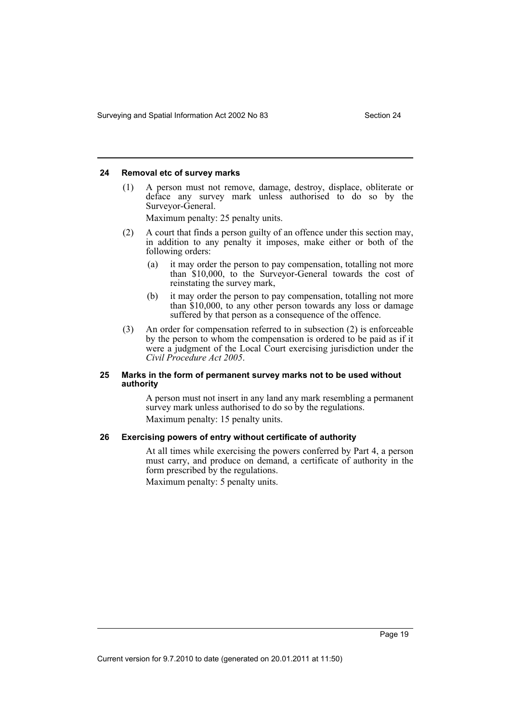## <span id="page-24-0"></span>**24 Removal etc of survey marks**

(1) A person must not remove, damage, destroy, displace, obliterate or deface any survey mark unless authorised to do so by the Surveyor-General.

Maximum penalty: 25 penalty units.

- (2) A court that finds a person guilty of an offence under this section may, in addition to any penalty it imposes, make either or both of the following orders:
	- (a) it may order the person to pay compensation, totalling not more than \$10,000, to the Surveyor-General towards the cost of reinstating the survey mark,
	- (b) it may order the person to pay compensation, totalling not more than \$10,000, to any other person towards any loss or damage suffered by that person as a consequence of the offence.
- (3) An order for compensation referred to in subsection (2) is enforceable by the person to whom the compensation is ordered to be paid as if it were a judgment of the Local Court exercising jurisdiction under the *Civil Procedure Act 2005*.

#### <span id="page-24-1"></span>**25 Marks in the form of permanent survey marks not to be used without authority**

A person must not insert in any land any mark resembling a permanent survey mark unless authorised to do so by the regulations. Maximum penalty: 15 penalty units.

#### <span id="page-24-2"></span>**26 Exercising powers of entry without certificate of authority**

At all times while exercising the powers conferred by Part 4, a person must carry, and produce on demand, a certificate of authority in the form prescribed by the regulations.

Maximum penalty: 5 penalty units.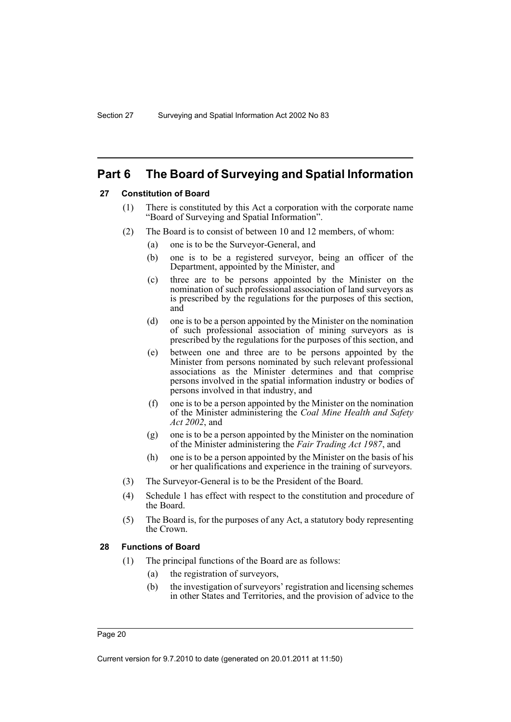## <span id="page-25-0"></span>**Part 6 The Board of Surveying and Spatial Information**

### <span id="page-25-1"></span>**27 Constitution of Board**

- (1) There is constituted by this Act a corporation with the corporate name "Board of Surveying and Spatial Information".
- (2) The Board is to consist of between 10 and 12 members, of whom:
	- (a) one is to be the Surveyor-General, and
	- (b) one is to be a registered surveyor, being an officer of the Department, appointed by the Minister, and
	- (c) three are to be persons appointed by the Minister on the nomination of such professional association of land surveyors as is prescribed by the regulations for the purposes of this section, and
	- (d) one is to be a person appointed by the Minister on the nomination of such professional association of mining surveyors as is prescribed by the regulations for the purposes of this section, and
	- (e) between one and three are to be persons appointed by the Minister from persons nominated by such relevant professional associations as the Minister determines and that comprise persons involved in the spatial information industry or bodies of persons involved in that industry, and
	- (f) one is to be a person appointed by the Minister on the nomination of the Minister administering the *Coal Mine Health and Safety Act 2002*, and
	- (g) one is to be a person appointed by the Minister on the nomination of the Minister administering the *Fair Trading Act 1987*, and
	- (h) one is to be a person appointed by the Minister on the basis of his or her qualifications and experience in the training of surveyors.
- (3) The Surveyor-General is to be the President of the Board.
- (4) Schedule 1 has effect with respect to the constitution and procedure of the Board.
- (5) The Board is, for the purposes of any Act, a statutory body representing the Crown.

#### <span id="page-25-2"></span>**28 Functions of Board**

- (1) The principal functions of the Board are as follows:
	- (a) the registration of surveyors,
	- (b) the investigation of surveyors' registration and licensing schemes in other States and Territories, and the provision of advice to the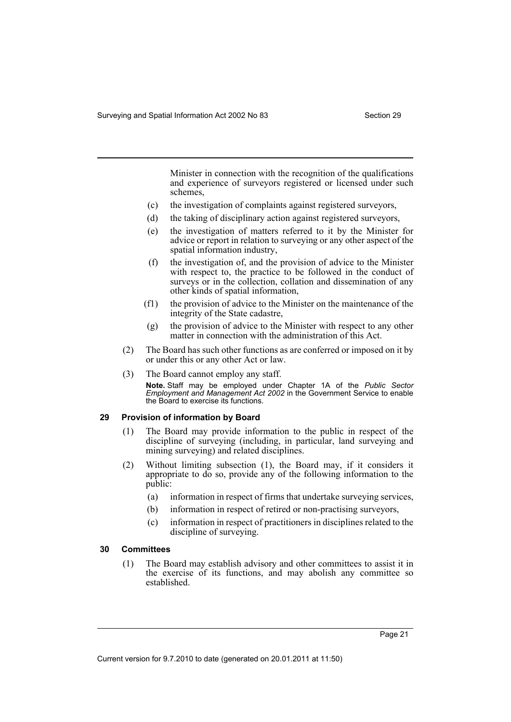Minister in connection with the recognition of the qualifications and experience of surveyors registered or licensed under such schemes,

- (c) the investigation of complaints against registered surveyors,
- (d) the taking of disciplinary action against registered surveyors,
- (e) the investigation of matters referred to it by the Minister for advice or report in relation to surveying or any other aspect of the spatial information industry,
- (f) the investigation of, and the provision of advice to the Minister with respect to, the practice to be followed in the conduct of surveys or in the collection, collation and dissemination of any other kinds of spatial information,
- (f1) the provision of advice to the Minister on the maintenance of the integrity of the State cadastre,
- (g) the provision of advice to the Minister with respect to any other matter in connection with the administration of this Act.
- (2) The Board has such other functions as are conferred or imposed on it by or under this or any other Act or law.
- (3) The Board cannot employ any staff. **Note.** Staff may be employed under Chapter 1A of the *Public Sector Employment and Management Act 2002* in the Government Service to enable the Board to exercise its functions.

#### <span id="page-26-0"></span>**29 Provision of information by Board**

- (1) The Board may provide information to the public in respect of the discipline of surveying (including, in particular, land surveying and mining surveying) and related disciplines.
- (2) Without limiting subsection (1), the Board may, if it considers it appropriate to do so, provide any of the following information to the public:
	- (a) information in respect of firms that undertake surveying services,
	- (b) information in respect of retired or non-practising surveyors,
	- (c) information in respect of practitioners in disciplines related to the discipline of surveying.

#### <span id="page-26-1"></span>**30 Committees**

(1) The Board may establish advisory and other committees to assist it in the exercise of its functions, and may abolish any committee so established.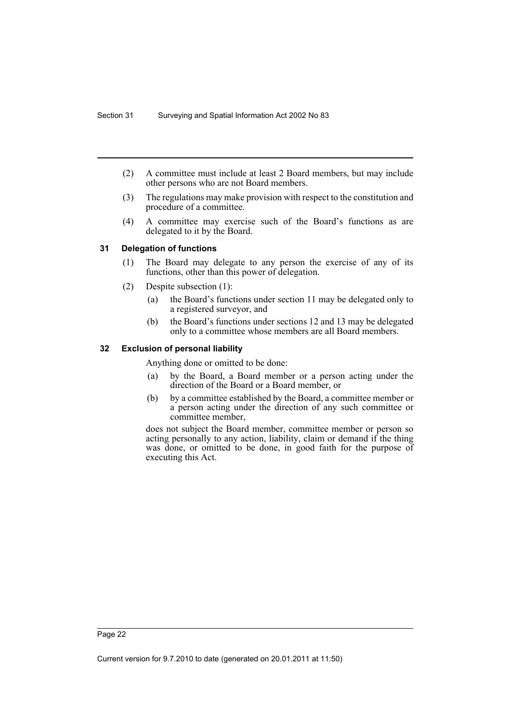- (2) A committee must include at least 2 Board members, but may include other persons who are not Board members.
- (3) The regulations may make provision with respect to the constitution and procedure of a committee.
- (4) A committee may exercise such of the Board's functions as are delegated to it by the Board.

#### <span id="page-27-0"></span>**31 Delegation of functions**

- (1) The Board may delegate to any person the exercise of any of its functions, other than this power of delegation.
- (2) Despite subsection (1):
	- (a) the Board's functions under section 11 may be delegated only to a registered surveyor, and
	- (b) the Board's functions under sections 12 and 13 may be delegated only to a committee whose members are all Board members.

#### <span id="page-27-1"></span>**32 Exclusion of personal liability**

Anything done or omitted to be done:

- (a) by the Board, a Board member or a person acting under the direction of the Board or a Board member, or
- (b) by a committee established by the Board, a committee member or a person acting under the direction of any such committee or committee member,

does not subject the Board member, committee member or person so acting personally to any action, liability, claim or demand if the thing was done, or omitted to be done, in good faith for the purpose of executing this Act.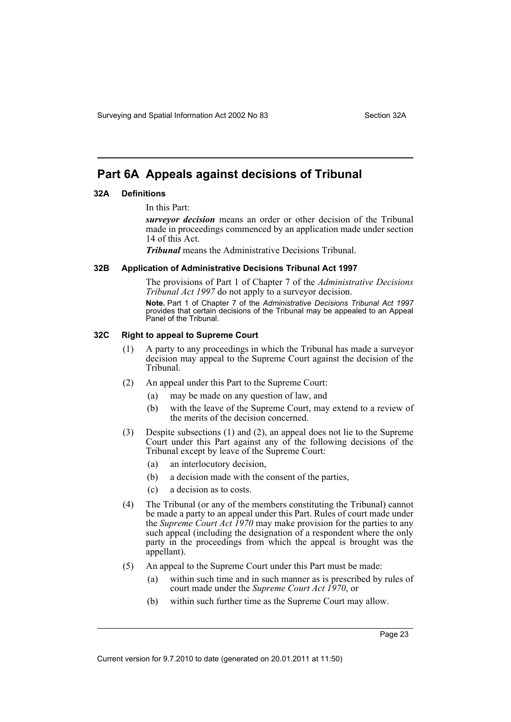## <span id="page-28-0"></span>**Part 6A Appeals against decisions of Tribunal**

#### <span id="page-28-1"></span>**32A Definitions**

In this Part:

*surveyor decision* means an order or other decision of the Tribunal made in proceedings commenced by an application made under section 14 of this Act.

*Tribunal* means the Administrative Decisions Tribunal.

#### <span id="page-28-2"></span>**32B Application of Administrative Decisions Tribunal Act 1997**

The provisions of Part 1 of Chapter 7 of the *Administrative Decisions Tribunal Act 1997* do not apply to a surveyor decision. **Note.** Part 1 of Chapter 7 of the *Administrative Decisions Tribunal Act 1997* provides that certain decisions of the Tribunal may be appealed to an Appeal Panel of the Tribunal.

#### <span id="page-28-3"></span>**32C Right to appeal to Supreme Court**

- (1) A party to any proceedings in which the Tribunal has made a surveyor decision may appeal to the Supreme Court against the decision of the Tribunal.
- (2) An appeal under this Part to the Supreme Court:
	- (a) may be made on any question of law, and
	- (b) with the leave of the Supreme Court, may extend to a review of the merits of the decision concerned.
- (3) Despite subsections (1) and (2), an appeal does not lie to the Supreme Court under this Part against any of the following decisions of the Tribunal except by leave of the Supreme Court:
	- (a) an interlocutory decision,
	- (b) a decision made with the consent of the parties,
	- (c) a decision as to costs.
- (4) The Tribunal (or any of the members constituting the Tribunal) cannot be made a party to an appeal under this Part. Rules of court made under the *Supreme Court Act 1970* may make provision for the parties to any such appeal (including the designation of a respondent where the only party in the proceedings from which the appeal is brought was the appellant).
- (5) An appeal to the Supreme Court under this Part must be made:
	- (a) within such time and in such manner as is prescribed by rules of court made under the *Supreme Court Act 1970*, or
	- (b) within such further time as the Supreme Court may allow.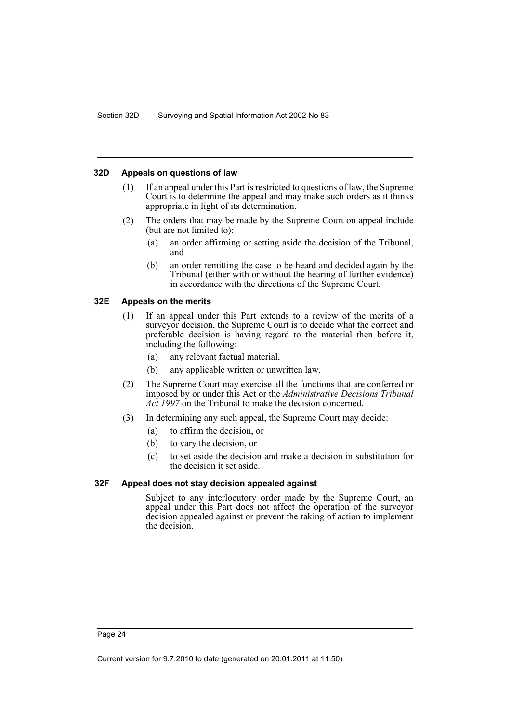### <span id="page-29-0"></span>**32D Appeals on questions of law**

- (1) If an appeal under this Part is restricted to questions of law, the Supreme Court is to determine the appeal and may make such orders as it thinks appropriate in light of its determination.
- (2) The orders that may be made by the Supreme Court on appeal include (but are not limited to):
	- (a) an order affirming or setting aside the decision of the Tribunal, and
	- (b) an order remitting the case to be heard and decided again by the Tribunal (either with or without the hearing of further evidence) in accordance with the directions of the Supreme Court.

#### <span id="page-29-1"></span>**32E Appeals on the merits**

- (1) If an appeal under this Part extends to a review of the merits of a surveyor decision, the Supreme Court is to decide what the correct and preferable decision is having regard to the material then before it, including the following:
	- (a) any relevant factual material,
	- (b) any applicable written or unwritten law.
- (2) The Supreme Court may exercise all the functions that are conferred or imposed by or under this Act or the *Administrative Decisions Tribunal Act 1997* on the Tribunal to make the decision concerned.
- (3) In determining any such appeal, the Supreme Court may decide:
	- (a) to affirm the decision, or
	- (b) to vary the decision, or
	- (c) to set aside the decision and make a decision in substitution for the decision it set aside.

#### <span id="page-29-2"></span>**32F Appeal does not stay decision appealed against**

Subject to any interlocutory order made by the Supreme Court, an appeal under this Part does not affect the operation of the surveyor decision appealed against or prevent the taking of action to implement the decision.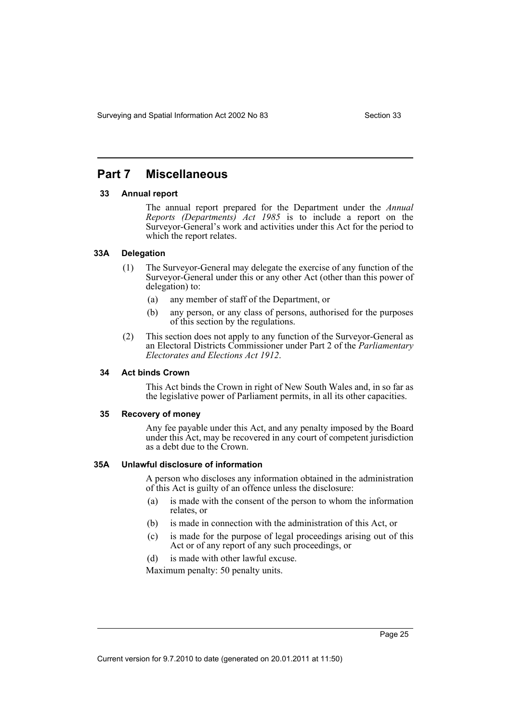## <span id="page-30-0"></span>**Part 7 Miscellaneous**

#### <span id="page-30-1"></span>**33 Annual report**

The annual report prepared for the Department under the *Annual Reports (Departments) Act 1985* is to include a report on the Surveyor-General's work and activities under this Act for the period to which the report relates.

#### <span id="page-30-2"></span>**33A Delegation**

- (1) The Surveyor-General may delegate the exercise of any function of the Surveyor-General under this or any other Act (other than this power of delegation) to:
	- (a) any member of staff of the Department, or
	- (b) any person, or any class of persons, authorised for the purposes of this section by the regulations.
- (2) This section does not apply to any function of the Surveyor-General as an Electoral Districts Commissioner under Part 2 of the *Parliamentary Electorates and Elections Act 1912*.

#### <span id="page-30-3"></span>**34 Act binds Crown**

This Act binds the Crown in right of New South Wales and, in so far as the legislative power of Parliament permits, in all its other capacities.

#### <span id="page-30-4"></span>**35 Recovery of money**

Any fee payable under this Act, and any penalty imposed by the Board under this Act, may be recovered in any court of competent jurisdiction as a debt due to the Crown.

#### <span id="page-30-5"></span>**35A Unlawful disclosure of information**

A person who discloses any information obtained in the administration of this Act is guilty of an offence unless the disclosure:

- (a) is made with the consent of the person to whom the information relates, or
- (b) is made in connection with the administration of this Act, or
- (c) is made for the purpose of legal proceedings arising out of this Act or of any report of any such proceedings, or
- (d) is made with other lawful excuse.

Maximum penalty: 50 penalty units.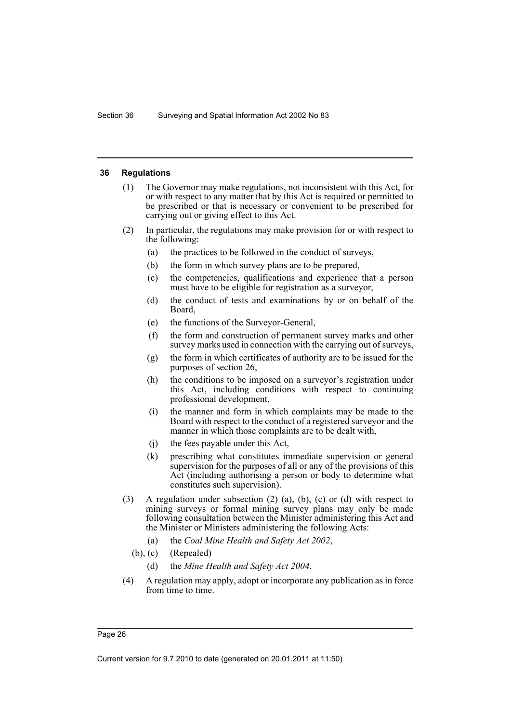#### <span id="page-31-0"></span>**36 Regulations**

- (1) The Governor may make regulations, not inconsistent with this Act, for or with respect to any matter that by this Act is required or permitted to be prescribed or that is necessary or convenient to be prescribed for carrying out or giving effect to this Act.
- (2) In particular, the regulations may make provision for or with respect to the following:
	- (a) the practices to be followed in the conduct of surveys,
	- (b) the form in which survey plans are to be prepared,
	- (c) the competencies, qualifications and experience that a person must have to be eligible for registration as a surveyor,
	- (d) the conduct of tests and examinations by or on behalf of the Board,
	- (e) the functions of the Surveyor-General,
	- (f) the form and construction of permanent survey marks and other survey marks used in connection with the carrying out of surveys,
	- (g) the form in which certificates of authority are to be issued for the purposes of section 26,
	- (h) the conditions to be imposed on a surveyor's registration under this Act, including conditions with respect to continuing professional development,
	- (i) the manner and form in which complaints may be made to the Board with respect to the conduct of a registered surveyor and the manner in which those complaints are to be dealt with,
	- (j) the fees payable under this Act,
	- (k) prescribing what constitutes immediate supervision or general supervision for the purposes of all or any of the provisions of this Act (including authorising a person or body to determine what constitutes such supervision).
- (3) A regulation under subsection (2) (a), (b), (c) or (d) with respect to mining surveys or formal mining survey plans may only be made following consultation between the Minister administering this Act and the Minister or Ministers administering the following Acts:
	- (a) the *Coal Mine Health and Safety Act 2002*,
	- (b), (c) (Repealed)
		- (d) the *Mine Health and Safety Act 2004*.
- (4) A regulation may apply, adopt or incorporate any publication as in force from time to time.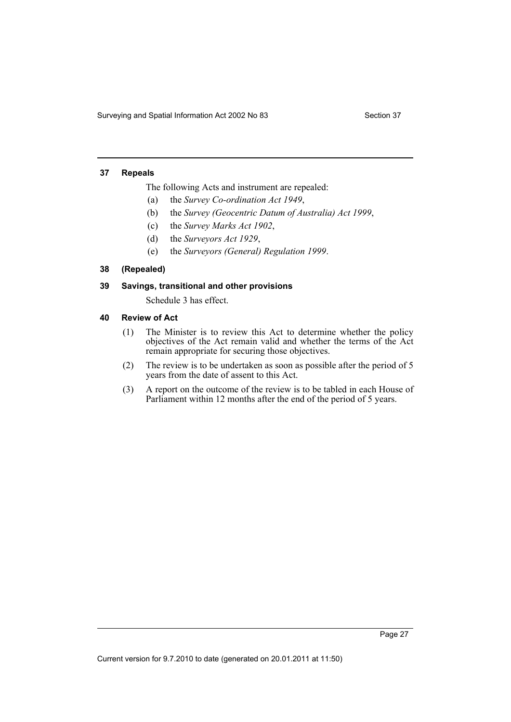Surveying and Spatial Information Act 2002 No 83 Section 37

#### <span id="page-32-0"></span>**37 Repeals**

The following Acts and instrument are repealed:

- (a) the *Survey Co-ordination Act 1949*,
- (b) the *Survey (Geocentric Datum of Australia) Act 1999*,
- (c) the *Survey Marks Act 1902*,
- (d) the *Surveyors Act 1929*,
- (e) the *Surveyors (General) Regulation 1999*.

#### <span id="page-32-1"></span>**38 (Repealed)**

### <span id="page-32-2"></span>**39 Savings, transitional and other provisions**

Schedule 3 has effect.

#### <span id="page-32-3"></span>**40 Review of Act**

- (1) The Minister is to review this Act to determine whether the policy objectives of the Act remain valid and whether the terms of the Act remain appropriate for securing those objectives.
- (2) The review is to be undertaken as soon as possible after the period of 5 years from the date of assent to this Act.
- (3) A report on the outcome of the review is to be tabled in each House of Parliament within 12 months after the end of the period of 5 years.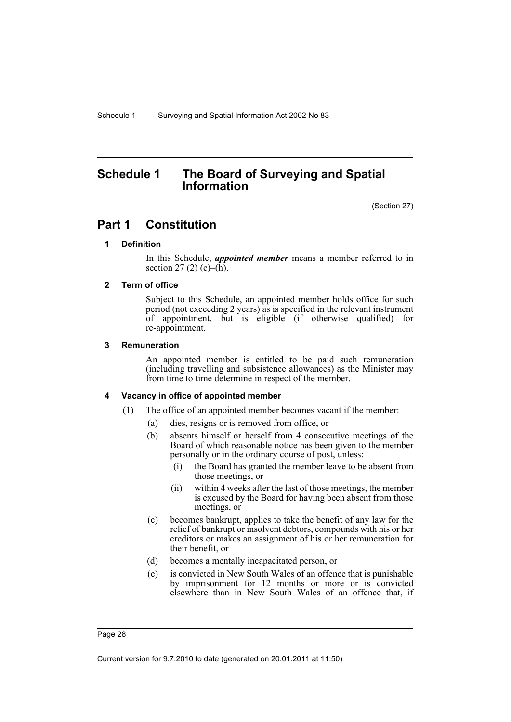## <span id="page-33-0"></span>**Schedule 1 The Board of Surveying and Spatial Information**

(Section 27)

## **Part 1 Constitution**

#### **1 Definition**

In this Schedule, *appointed member* means a member referred to in section 27 (2) (c)– $(\bar{h})$ .

#### **2 Term of office**

Subject to this Schedule, an appointed member holds office for such period (not exceeding 2 years) as is specified in the relevant instrument of appointment, but is eligible (if otherwise qualified) for re-appointment.

#### **3 Remuneration**

An appointed member is entitled to be paid such remuneration (including travelling and subsistence allowances) as the Minister may from time to time determine in respect of the member.

#### **4 Vacancy in office of appointed member**

- (1) The office of an appointed member becomes vacant if the member:
	- (a) dies, resigns or is removed from office, or
	- (b) absents himself or herself from 4 consecutive meetings of the Board of which reasonable notice has been given to the member personally or in the ordinary course of post, unless:
		- (i) the Board has granted the member leave to be absent from those meetings, or
		- (ii) within 4 weeks after the last of those meetings, the member is excused by the Board for having been absent from those meetings, or
	- (c) becomes bankrupt, applies to take the benefit of any law for the relief of bankrupt or insolvent debtors, compounds with his or her creditors or makes an assignment of his or her remuneration for their benefit, or
	- (d) becomes a mentally incapacitated person, or
	- (e) is convicted in New South Wales of an offence that is punishable by imprisonment for 12 months or more or is convicted elsewhere than in New South Wales of an offence that, if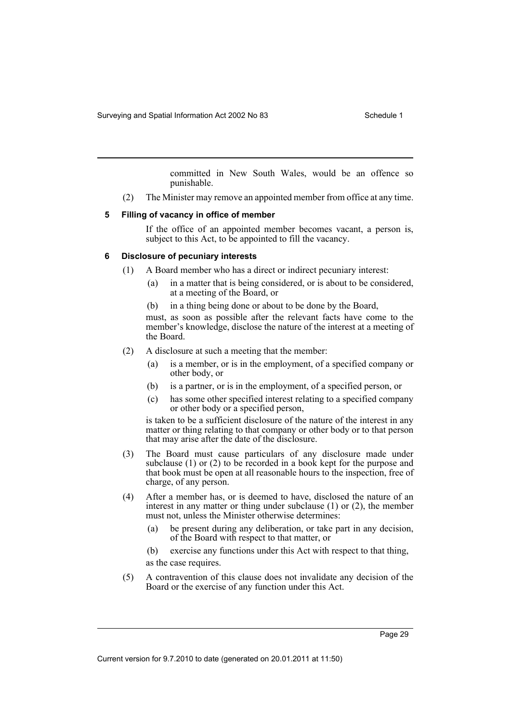committed in New South Wales, would be an offence so punishable.

(2) The Minister may remove an appointed member from office at any time.

#### **5 Filling of vacancy in office of member**

If the office of an appointed member becomes vacant, a person is, subject to this Act, to be appointed to fill the vacancy.

#### **6 Disclosure of pecuniary interests**

- (1) A Board member who has a direct or indirect pecuniary interest:
	- (a) in a matter that is being considered, or is about to be considered, at a meeting of the Board, or
	- (b) in a thing being done or about to be done by the Board,

must, as soon as possible after the relevant facts have come to the member's knowledge, disclose the nature of the interest at a meeting of the Board.

- (2) A disclosure at such a meeting that the member:
	- (a) is a member, or is in the employment, of a specified company or other body, or
	- (b) is a partner, or is in the employment, of a specified person, or
	- (c) has some other specified interest relating to a specified company or other body or a specified person,

is taken to be a sufficient disclosure of the nature of the interest in any matter or thing relating to that company or other body or to that person that may arise after the date of the disclosure.

- (3) The Board must cause particulars of any disclosure made under subclause (1) or (2) to be recorded in a book kept for the purpose and that book must be open at all reasonable hours to the inspection, free of charge, of any person.
- (4) After a member has, or is deemed to have, disclosed the nature of an interest in any matter or thing under subclause (1) or (2), the member must not, unless the Minister otherwise determines:
	- (a) be present during any deliberation, or take part in any decision, of the Board with respect to that matter, or

(b) exercise any functions under this Act with respect to that thing, as the case requires.

(5) A contravention of this clause does not invalidate any decision of the Board or the exercise of any function under this Act.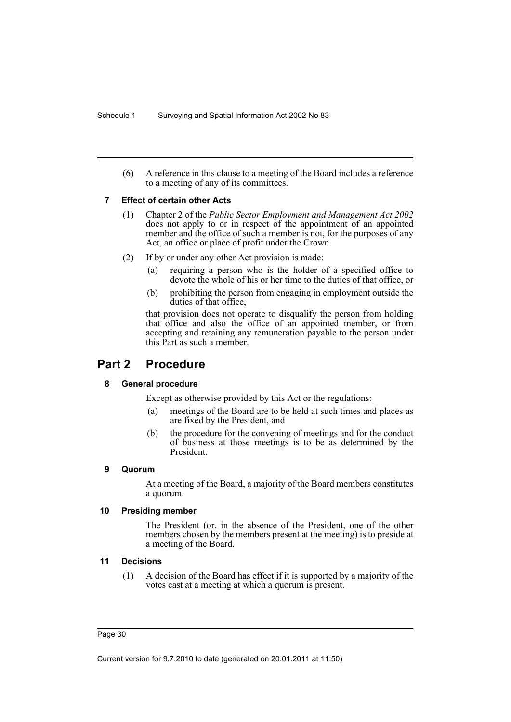(6) A reference in this clause to a meeting of the Board includes a reference to a meeting of any of its committees.

#### **7 Effect of certain other Acts**

- (1) Chapter 2 of the *Public Sector Employment and Management Act 2002* does not apply to or in respect of the appointment of an appointed member and the office of such a member is not, for the purposes of any Act, an office or place of profit under the Crown.
- (2) If by or under any other Act provision is made:
	- (a) requiring a person who is the holder of a specified office to devote the whole of his or her time to the duties of that office, or
	- (b) prohibiting the person from engaging in employment outside the duties of that office,

that provision does not operate to disqualify the person from holding that office and also the office of an appointed member, or from accepting and retaining any remuneration payable to the person under this Part as such a member.

## **Part 2 Procedure**

#### **8 General procedure**

Except as otherwise provided by this Act or the regulations:

- (a) meetings of the Board are to be held at such times and places as are fixed by the President, and
- (b) the procedure for the convening of meetings and for the conduct of business at those meetings is to be as determined by the President.

#### **9 Quorum**

At a meeting of the Board, a majority of the Board members constitutes a quorum.

#### **10 Presiding member**

The President (or, in the absence of the President, one of the other members chosen by the members present at the meeting) is to preside at a meeting of the Board.

#### **11 Decisions**

(1) A decision of the Board has effect if it is supported by a majority of the votes cast at a meeting at which a quorum is present.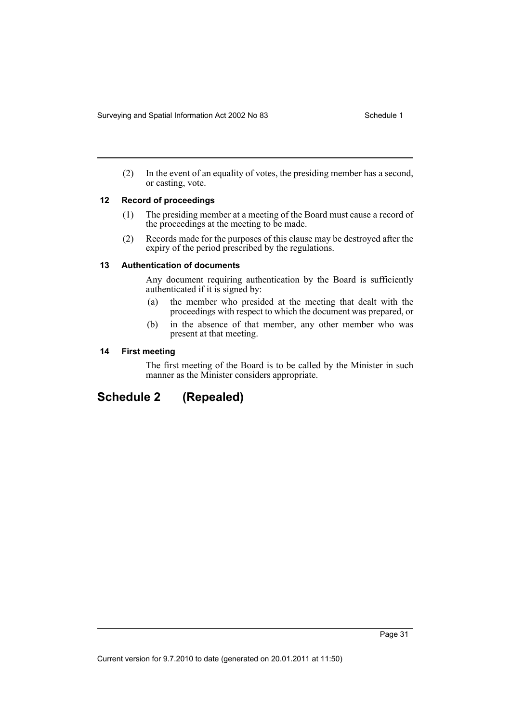(2) In the event of an equality of votes, the presiding member has a second, or casting, vote.

#### **12 Record of proceedings**

- (1) The presiding member at a meeting of the Board must cause a record of the proceedings at the meeting to be made.
- (2) Records made for the purposes of this clause may be destroyed after the expiry of the period prescribed by the regulations.

#### **13 Authentication of documents**

Any document requiring authentication by the Board is sufficiently authenticated if it is signed by:

- (a) the member who presided at the meeting that dealt with the proceedings with respect to which the document was prepared, or
- (b) in the absence of that member, any other member who was present at that meeting.

#### **14 First meeting**

The first meeting of the Board is to be called by the Minister in such manner as the Minister considers appropriate.

## <span id="page-36-0"></span>**Schedule 2 (Repealed)**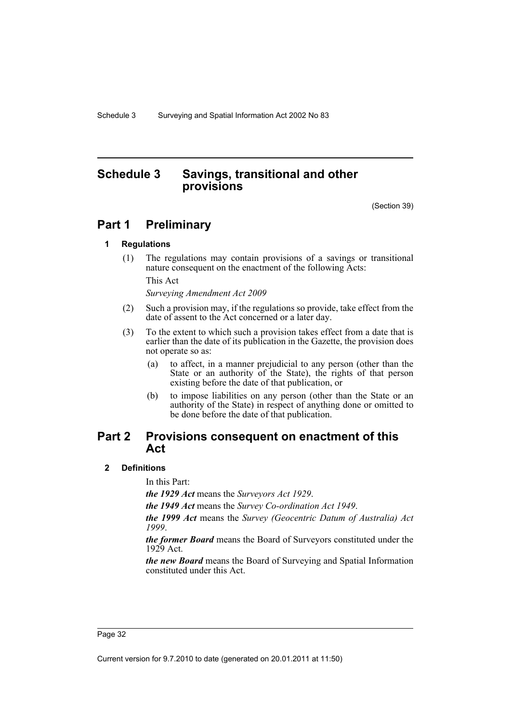## <span id="page-37-0"></span>**Schedule 3 Savings, transitional and other provisions**

(Section 39)

## **Part 1 Preliminary**

#### **1 Regulations**

(1) The regulations may contain provisions of a savings or transitional nature consequent on the enactment of the following Acts:

This Act

*Surveying Amendment Act 2009*

- (2) Such a provision may, if the regulations so provide, take effect from the date of assent to the Act concerned or a later day.
- (3) To the extent to which such a provision takes effect from a date that is earlier than the date of its publication in the Gazette, the provision does not operate so as:
	- (a) to affect, in a manner prejudicial to any person (other than the State or an authority of the State), the rights of that person existing before the date of that publication, or
	- (b) to impose liabilities on any person (other than the State or an authority of the State) in respect of anything done or omitted to be done before the date of that publication.

## **Part 2 Provisions consequent on enactment of this Act**

#### **2 Definitions**

In this Part:

*the 1929 Act* means the *Surveyors Act 1929*.

*the 1949 Act* means the *Survey Co-ordination Act 1949*.

*the 1999 Act* means the *Survey (Geocentric Datum of Australia) Act 1999*.

*the former Board* means the Board of Surveyors constituted under the 1929 Act.

*the new Board* means the Board of Surveying and Spatial Information constituted under this Act.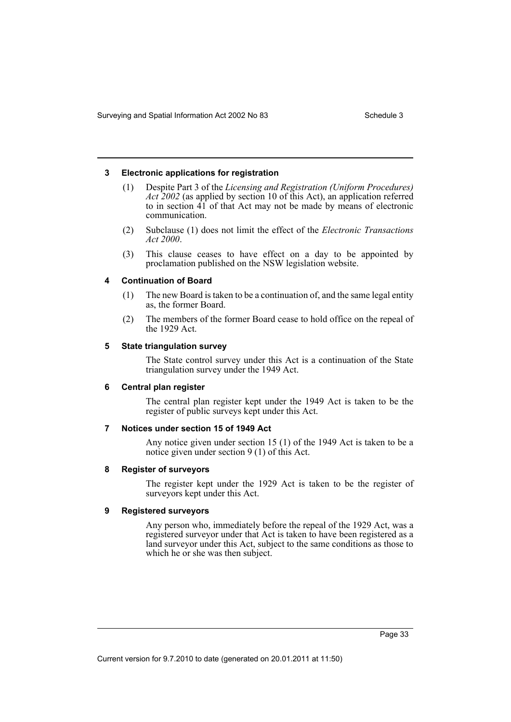#### **3 Electronic applications for registration**

- (1) Despite Part 3 of the *Licensing and Registration (Uniform Procedures) Act 2002* (as applied by section 10 of this Act), an application referred to in section 41 of that Act may not be made by means of electronic communication.
- (2) Subclause (1) does not limit the effect of the *Electronic Transactions Act 2000*.
- (3) This clause ceases to have effect on a day to be appointed by proclamation published on the NSW legislation website.

#### **4 Continuation of Board**

- (1) The new Board is taken to be a continuation of, and the same legal entity as, the former Board.
- (2) The members of the former Board cease to hold office on the repeal of the 1929 Act.

#### **5 State triangulation survey**

The State control survey under this Act is a continuation of the State triangulation survey under the 1949 Act.

#### **6 Central plan register**

The central plan register kept under the 1949 Act is taken to be the register of public surveys kept under this Act.

#### **7 Notices under section 15 of 1949 Act**

Any notice given under section 15 (1) of the 1949 Act is taken to be a notice given under section 9 (1) of this Act.

#### **8 Register of surveyors**

The register kept under the 1929 Act is taken to be the register of surveyors kept under this Act.

#### **9 Registered surveyors**

Any person who, immediately before the repeal of the 1929 Act, was a registered surveyor under that Act is taken to have been registered as a land surveyor under this Act, subject to the same conditions as those to which he or she was then subject.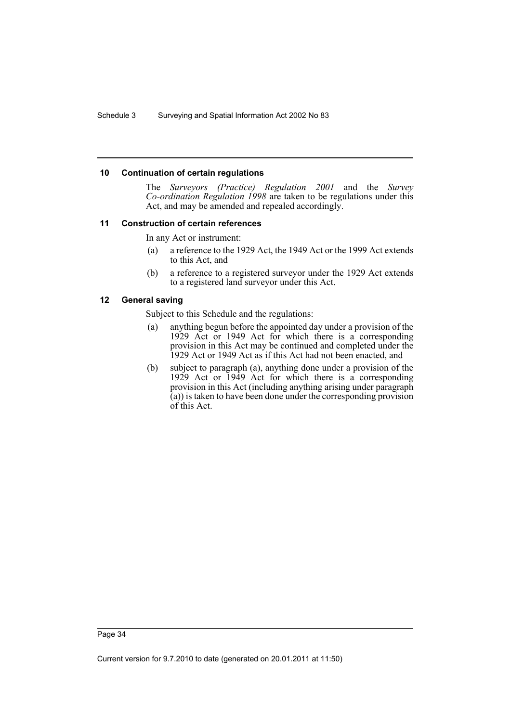#### **10 Continuation of certain regulations**

The *Surveyors (Practice) Regulation 2001* and the *Survey Co-ordination Regulation 1998* are taken to be regulations under this Act, and may be amended and repealed accordingly.

#### **11 Construction of certain references**

In any Act or instrument:

- (a) a reference to the 1929 Act, the 1949 Act or the 1999 Act extends to this Act, and
- (b) a reference to a registered surveyor under the 1929 Act extends to a registered land surveyor under this Act.

#### **12 General saving**

Subject to this Schedule and the regulations:

- (a) anything begun before the appointed day under a provision of the 1929 Act or 1949 Act for which there is a corresponding provision in this Act may be continued and completed under the 1929 Act or 1949 Act as if this Act had not been enacted, and
- (b) subject to paragraph (a), anything done under a provision of the 1929 Act or 1949 Act for which there is a corresponding provision in this Act (including anything arising under paragraph (a)) is taken to have been done under the corresponding provision of this Act.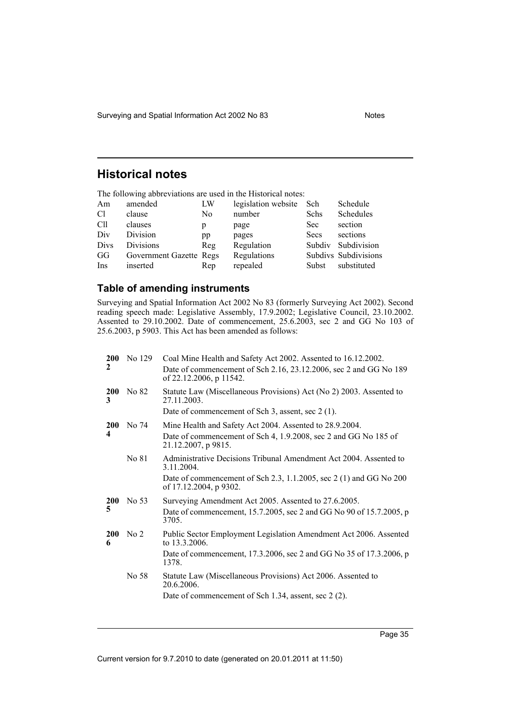Surveying and Spatial Information Act 2002 No 83

## <span id="page-40-0"></span>**Historical notes**

The following abbreviations are used in the Historical notes:

| C <sub>1</sub><br>number                                               |  |
|------------------------------------------------------------------------|--|
| Schedules<br>clause<br>Schs<br>N <sub>0</sub>                          |  |
| Cll<br>section<br>clauses<br>Sec<br>page<br>р                          |  |
| Div<br>Division<br>sections<br>Secs<br>pages<br>pp                     |  |
| <b>Divisions</b><br>Divs<br>Subdivision<br>Regulation<br>Subdiv<br>Reg |  |
| Regulations<br>Subdivs Subdivisions<br>GG<br>Government Gazette Regs   |  |
| inserted<br>substituted<br>repealed<br>Ins<br>Subst<br>Rep             |  |

## <span id="page-40-1"></span>**Table of amending instruments**

Surveying and Spatial Information Act 2002 No 83 (formerly Surveying Act 2002). Second reading speech made: Legislative Assembly, 17.9.2002; Legislative Council, 23.10.2002. Assented to 29.10.2002. Date of commencement, 25.6.2003, sec 2 and GG No 103 of 25.6.2003, p 5903. This Act has been amended as follows:

| <b>200</b>              | No 129          | Coal Mine Health and Safety Act 2002. Assented to 16.12.2002.                                |
|-------------------------|-----------------|----------------------------------------------------------------------------------------------|
| $\mathbf{2}$            |                 | Date of commencement of Sch 2.16, 23.12.2006, sec 2 and GG No 189<br>of 22.12.2006, p 11542. |
| <b>200</b><br>3         | No 82           | Statute Law (Miscellaneous Provisions) Act (No 2) 2003. Assented to<br>27.11.2003.           |
|                         |                 | Date of commencement of Sch 3, assent, sec 2 (1).                                            |
| <b>200</b>              | No 74           | Mine Health and Safety Act 2004. Assented to 28.9.2004.                                      |
| $\overline{\mathbf{4}}$ |                 | Date of commencement of Sch 4, 1.9.2008, sec 2 and GG No 185 of<br>21.12.2007, p 9815.       |
|                         | No 81           | Administrative Decisions Tribunal Amendment Act 2004. Assented to<br>3.11.2004.              |
|                         |                 | Date of commencement of Sch 2.3, 1.1.2005, sec 2 (1) and GG No 200<br>of 17.12.2004, p 9302. |
| <b>200</b>              | No 53           | Surveying Amendment Act 2005. Assented to 27.6.2005.                                         |
| 5                       |                 | Date of commencement, 15.7.2005, sec 2 and GG No 90 of 15.7.2005, p<br>3705.                 |
| <b>200</b><br>6         | No <sub>2</sub> | Public Sector Employment Legislation Amendment Act 2006. Assented<br>to 13.3.2006.           |
|                         |                 | Date of commencement, 17.3.2006, sec 2 and GG No 35 of 17.3.2006, p<br>1378.                 |
|                         | No 58           | Statute Law (Miscellaneous Provisions) Act 2006. Assented to<br>20.6.2006.                   |
|                         |                 | Date of commencement of Sch 1.34, assent, sec 2 (2).                                         |
|                         |                 |                                                                                              |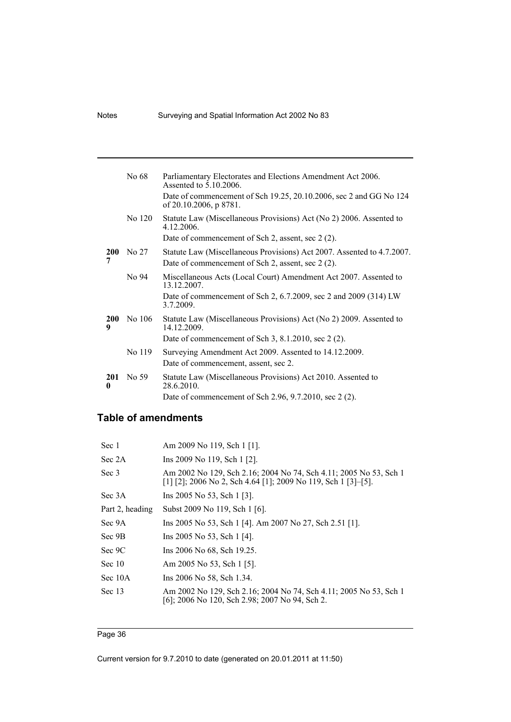| No 68  | Parliamentary Electorates and Elections Amendment Act 2006.<br>Assented to 5.10.2006.                                       |
|--------|-----------------------------------------------------------------------------------------------------------------------------|
|        | Date of commencement of Sch 19.25, 20.10.2006, sec 2 and GG No 124<br>of 20.10.2006, p 8781.                                |
| No 120 | Statute Law (Miscellaneous Provisions) Act (No 2) 2006. Assented to<br>4.12.2006.                                           |
|        | Date of commencement of Sch 2, assent, sec 2 (2).                                                                           |
| No 27  | Statute Law (Miscellaneous Provisions) Act 2007. Assented to 4.7.2007.<br>Date of commencement of Sch 2, assent, sec 2 (2). |
| No 94  | Miscellaneous Acts (Local Court) Amendment Act 2007. Assented to<br>13.12.2007.                                             |
|        | Date of commencement of Sch 2, 6.7.2009, sec 2 and 2009 (314) LW<br>3.7.2009.                                               |
| No 106 | Statute Law (Miscellaneous Provisions) Act (No 2) 2009. Assented to<br>14.12.2009.                                          |
|        | Date of commencement of Sch $3, 8.1.2010$ , sec $2(2)$ .                                                                    |
| No 119 | Surveying Amendment Act 2009. Assented to 14.12.2009.                                                                       |
|        | Date of commencement, assent, sec 2.                                                                                        |
| No 59  | Statute Law (Miscellaneous Provisions) Act 2010. Assented to<br>28.6.2010.                                                  |
|        | Date of commencement of Sch 2.96, 9.7.2010, sec 2 (2).                                                                      |
|        |                                                                                                                             |

## <span id="page-41-0"></span>**Table of amendments**

| Sec 1           | Am 2009 No 119, Sch 1 [1].                                                                                                         |
|-----------------|------------------------------------------------------------------------------------------------------------------------------------|
| Sec 2A          | Ins 2009 No 119, Sch 1 [2].                                                                                                        |
| Sec 3           | Am 2002 No 129, Sch 2.16; 2004 No 74, Sch 4.11; 2005 No 53, Sch 1<br>[1] [2]; 2006 No 2, Sch 4.64 [1]; 2009 No 119, Sch 1 [3]-[5]. |
| Sec 3A          | Ins 2005 No 53, Sch 1 [3].                                                                                                         |
| Part 2, heading | Subst 2009 No 119, Sch 1 [6].                                                                                                      |
| Sec 9A          | Ins 2005 No 53, Sch 1 [4]. Am 2007 No 27, Sch 2.51 [1].                                                                            |
| Sec 9B          | Ins 2005 No 53, Sch 1 [4].                                                                                                         |
| Sec 9C          | Ins 2006 No 68, Sch 19.25.                                                                                                         |
| Sec $10$        | Am 2005 No 53, Sch 1 [5].                                                                                                          |
| Sec 10A         | Ins 2006 No 58, Sch 1.34.                                                                                                          |
| Sec 13          | Am 2002 No 129, Sch 2.16; 2004 No 74, Sch 4.11; 2005 No 53, Sch 1<br>[6]; 2006 No 120, Sch 2.98; 2007 No 94, Sch 2.                |